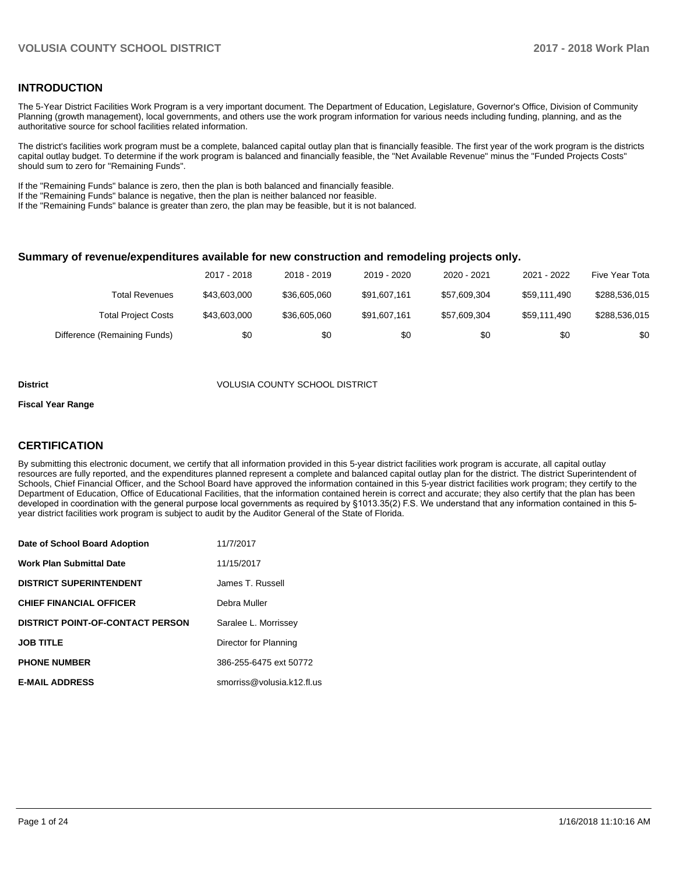#### **INTRODUCTION**

The 5-Year District Facilities Work Program is a very important document. The Department of Education, Legislature, Governor's Office, Division of Community Planning (growth management), local governments, and others use the work program information for various needs including funding, planning, and as the authoritative source for school facilities related information.

The district's facilities work program must be a complete, balanced capital outlay plan that is financially feasible. The first year of the work program is the districts capital outlay budget. To determine if the work program is balanced and financially feasible, the "Net Available Revenue" minus the "Funded Projects Costs" should sum to zero for "Remaining Funds".

If the "Remaining Funds" balance is zero, then the plan is both balanced and financially feasible.

If the "Remaining Funds" balance is negative, then the plan is neither balanced nor feasible.

If the "Remaining Funds" balance is greater than zero, the plan may be feasible, but it is not balanced.

#### **Summary of revenue/expenditures available for new construction and remodeling projects only.**

|                              | 2017 - 2018  | 2018 - 2019  | 2019 - 2020  | 2020 - 2021  | 2021 - 2022  | Five Year Tota |
|------------------------------|--------------|--------------|--------------|--------------|--------------|----------------|
| <b>Total Revenues</b>        | \$43.603.000 | \$36,605,060 | \$91,607,161 | \$57.609.304 | \$59.111.490 | \$288,536,015  |
| <b>Total Project Costs</b>   | \$43,603,000 | \$36,605,060 | \$91,607,161 | \$57,609,304 | \$59.111.490 | \$288,536,015  |
| Difference (Remaining Funds) | \$0          | \$0          | \$0          | \$0          | \$0          | \$0            |

#### **District** VOLUSIA COUNTY SCHOOL DISTRICT

#### **Fiscal Year Range**

### **CERTIFICATION**

By submitting this electronic document, we certify that all information provided in this 5-year district facilities work program is accurate, all capital outlay resources are fully reported, and the expenditures planned represent a complete and balanced capital outlay plan for the district. The district Superintendent of Schools, Chief Financial Officer, and the School Board have approved the information contained in this 5-year district facilities work program; they certify to the Department of Education, Office of Educational Facilities, that the information contained herein is correct and accurate; they also certify that the plan has been developed in coordination with the general purpose local governments as required by §1013.35(2) F.S. We understand that any information contained in this 5year district facilities work program is subject to audit by the Auditor General of the State of Florida.

| Date of School Board Adoption           | 11/7/2017                  |
|-----------------------------------------|----------------------------|
| <b>Work Plan Submittal Date</b>         | 11/15/2017                 |
| <b>DISTRICT SUPERINTENDENT</b>          | James T. Russell           |
| <b>CHIEF FINANCIAL OFFICER</b>          | Debra Muller               |
| <b>DISTRICT POINT-OF-CONTACT PERSON</b> | Saralee L. Morrissey       |
| <b>JOB TITLE</b>                        | Director for Planning      |
| <b>PHONE NUMBER</b>                     | 386-255-6475 ext 50772     |
| <b>E-MAIL ADDRESS</b>                   | smorriss@volusia.k12.fl.us |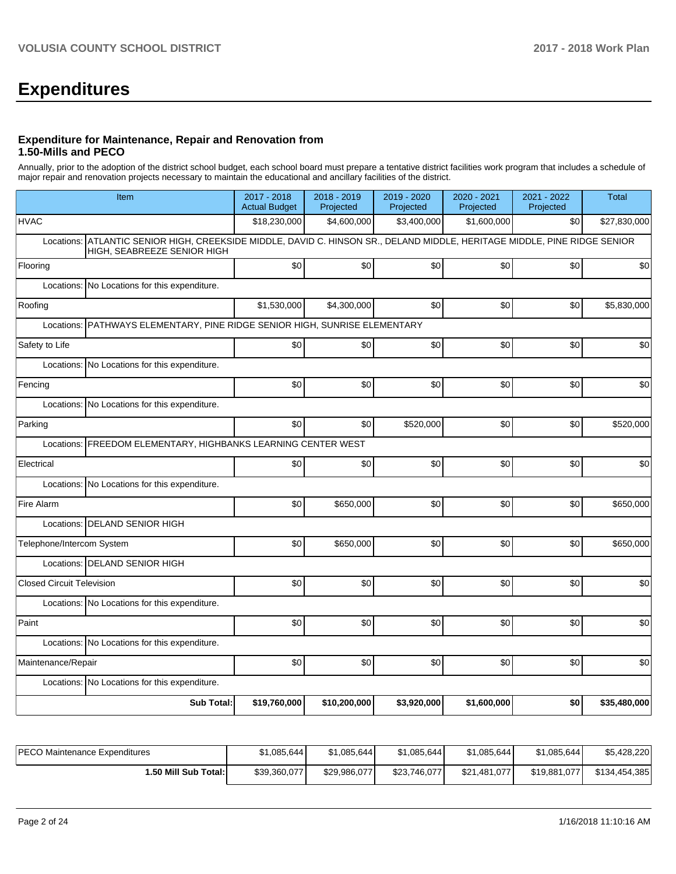# **Expenditures**

#### **Expenditure for Maintenance, Repair and Renovation from 1.50-Mills and PECO**

Annually, prior to the adoption of the district school budget, each school board must prepare a tentative district facilities work program that includes a schedule of major repair and renovation projects necessary to maintain the educational and ancillary facilities of the district.

| Item                                                                                                                                                        | 2017 - 2018<br><b>Actual Budget</b>                           | 2018 - 2019<br>Projected | 2019 - 2020<br>Projected | 2020 - 2021<br>Projected | 2021 - 2022<br>Projected | <b>Total</b> |  |  |  |  |  |  |
|-------------------------------------------------------------------------------------------------------------------------------------------------------------|---------------------------------------------------------------|--------------------------|--------------------------|--------------------------|--------------------------|--------------|--|--|--|--|--|--|
| <b>HVAC</b>                                                                                                                                                 | \$18,230,000                                                  | \$4,600,000              | \$3,400,000              | \$1,600,000              | \$0                      | \$27,830,000 |  |  |  |  |  |  |
| ATLANTIC SENIOR HIGH, CREEKSIDE MIDDLE, DAVID C. HINSON SR., DELAND MIDDLE, HERITAGE MIDDLE, PINE RIDGE SENIOR<br>Locations:<br>HIGH, SEABREEZE SENIOR HIGH |                                                               |                          |                          |                          |                          |              |  |  |  |  |  |  |
| Flooring                                                                                                                                                    | \$0                                                           | \$0                      | \$0                      | \$0                      | \$0                      | \$0          |  |  |  |  |  |  |
| Locations: No Locations for this expenditure.                                                                                                               |                                                               |                          |                          |                          |                          |              |  |  |  |  |  |  |
| Roofing                                                                                                                                                     | \$1,530,000                                                   | \$4,300,000              | \$0                      | \$0                      | \$0                      | \$5,830,000  |  |  |  |  |  |  |
| PATHWAYS ELEMENTARY, PINE RIDGE SENIOR HIGH, SUNRISE ELEMENTARY<br>Locations:                                                                               |                                                               |                          |                          |                          |                          |              |  |  |  |  |  |  |
| Safety to Life                                                                                                                                              | \$0                                                           | \$0                      | \$0                      | \$0                      | \$0                      | \$0          |  |  |  |  |  |  |
| Locations: No Locations for this expenditure.                                                                                                               |                                                               |                          |                          |                          |                          |              |  |  |  |  |  |  |
| Fencing                                                                                                                                                     | \$0                                                           | \$0                      | \$0                      | \$0                      | \$0                      | \$0          |  |  |  |  |  |  |
| Locations: No Locations for this expenditure.                                                                                                               |                                                               |                          |                          |                          |                          |              |  |  |  |  |  |  |
| Parking                                                                                                                                                     | \$0                                                           | \$0                      | \$520,000                | \$0                      | \$0                      | \$520,000    |  |  |  |  |  |  |
|                                                                                                                                                             | Locations: FREEDOM ELEMENTARY, HIGHBANKS LEARNING CENTER WEST |                          |                          |                          |                          |              |  |  |  |  |  |  |
| Electrical                                                                                                                                                  | \$0                                                           | \$0                      | \$0                      | \$0                      | \$0                      | \$0          |  |  |  |  |  |  |
| Locations: No Locations for this expenditure.                                                                                                               |                                                               |                          |                          |                          |                          |              |  |  |  |  |  |  |
| Fire Alarm                                                                                                                                                  | \$0                                                           | \$650,000                | \$0                      | \$0                      | \$0                      | \$650,000    |  |  |  |  |  |  |
| Locations: DELAND SENIOR HIGH                                                                                                                               |                                                               |                          |                          |                          |                          |              |  |  |  |  |  |  |
| Telephone/Intercom System                                                                                                                                   | \$0                                                           | \$650,000                | \$0                      | \$0                      | \$0                      | \$650,000    |  |  |  |  |  |  |
| Locations: DELAND SENIOR HIGH                                                                                                                               |                                                               |                          |                          |                          |                          |              |  |  |  |  |  |  |
| Closed Circuit Television                                                                                                                                   | \$0                                                           | \$0                      | \$0                      | \$0                      | \$0                      | \$0          |  |  |  |  |  |  |
| Locations: No Locations for this expenditure.                                                                                                               |                                                               |                          |                          |                          |                          |              |  |  |  |  |  |  |
| Paint                                                                                                                                                       | \$0                                                           | \$0                      | \$0                      | \$0                      | \$0                      | \$0          |  |  |  |  |  |  |
| Locations: No Locations for this expenditure.                                                                                                               |                                                               |                          |                          |                          |                          |              |  |  |  |  |  |  |
| Maintenance/Repair                                                                                                                                          | \$0                                                           | \$0                      | \$0                      | \$0                      | \$0                      | \$0          |  |  |  |  |  |  |
| Locations: No Locations for this expenditure.                                                                                                               |                                                               |                          |                          |                          |                          |              |  |  |  |  |  |  |
| <b>Sub Total:</b>                                                                                                                                           | \$19,760,000                                                  | \$10,200,000             | \$3,920,000              | \$1,600,000              | \$0                      | \$35,480,000 |  |  |  |  |  |  |

| <b>PECO Maintenance Expenditures</b> | \$1,085,644  | \$1,085,644  | \$1,085,644] | \$1,085,644  | \$1,085,644  | \$5,428,220   |
|--------------------------------------|--------------|--------------|--------------|--------------|--------------|---------------|
| I.50 Mill Sub Total: I               | \$39.360.077 | \$29.986.077 | \$23,746,077 | \$21,481,077 | \$19,881,077 | \$134,454,385 |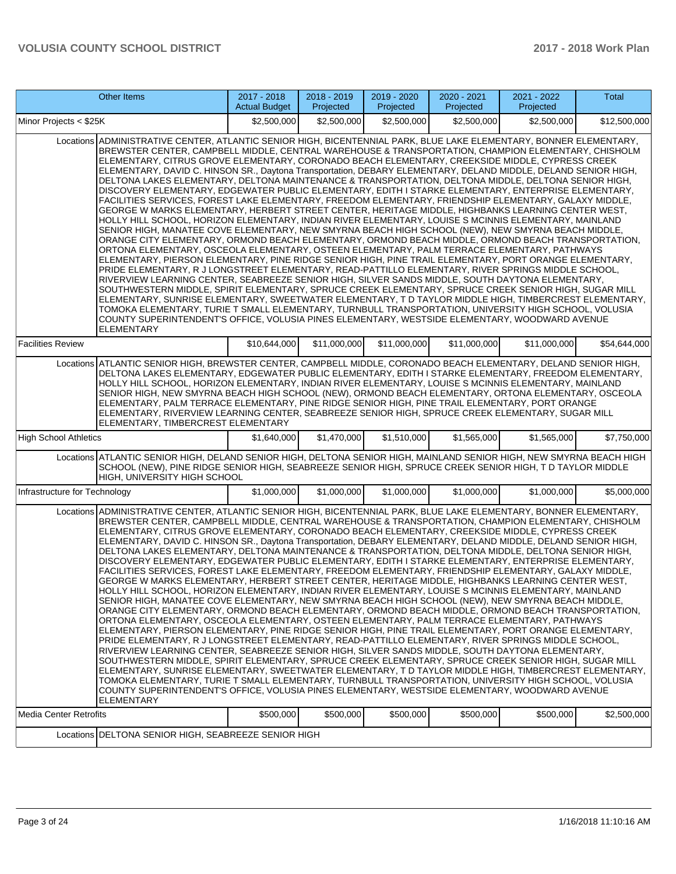|                               | Other Items                                                                                                                                                                                                                                                                                                                                                                                                                                                                                                                                                                                                                                                                                                                                                                                                                                                                                                                                                                                                                                                                                                                                                                                                                                                                                                                                                                                                                                                                                                                                                                                                                                                                                                                                                                                                                                                                                                                                                                                                                                                                | 2017 - 2018<br><b>Actual Budget</b> | 2018 - 2019<br>Projected | 2019 - 2020<br>Projected | 2020 - 2021<br>Projected | 2021 - 2022<br>Projected | Total        |
|-------------------------------|----------------------------------------------------------------------------------------------------------------------------------------------------------------------------------------------------------------------------------------------------------------------------------------------------------------------------------------------------------------------------------------------------------------------------------------------------------------------------------------------------------------------------------------------------------------------------------------------------------------------------------------------------------------------------------------------------------------------------------------------------------------------------------------------------------------------------------------------------------------------------------------------------------------------------------------------------------------------------------------------------------------------------------------------------------------------------------------------------------------------------------------------------------------------------------------------------------------------------------------------------------------------------------------------------------------------------------------------------------------------------------------------------------------------------------------------------------------------------------------------------------------------------------------------------------------------------------------------------------------------------------------------------------------------------------------------------------------------------------------------------------------------------------------------------------------------------------------------------------------------------------------------------------------------------------------------------------------------------------------------------------------------------------------------------------------------------|-------------------------------------|--------------------------|--------------------------|--------------------------|--------------------------|--------------|
| Minor Projects < \$25K        |                                                                                                                                                                                                                                                                                                                                                                                                                                                                                                                                                                                                                                                                                                                                                                                                                                                                                                                                                                                                                                                                                                                                                                                                                                                                                                                                                                                                                                                                                                                                                                                                                                                                                                                                                                                                                                                                                                                                                                                                                                                                            | \$2,500,000                         | \$2,500,000              | \$2,500,000              | \$2,500,000              | \$2,500,000              | \$12,500,000 |
|                               | Locations ADMINISTRATIVE CENTER, ATLANTIC SENIOR HIGH, BICENTENNIAL PARK, BLUE LAKE ELEMENTARY, BONNER ELEMENTARY,<br>BREWSTER CENTER, CAMPBELL MIDDLE, CENTRAL WAREHOUSE & TRANSPORTATION, CHAMPION ELEMENTARY, CHISHOLM<br>ELEMENTARY, CITRUS GROVE ELEMENTARY, CORONADO BEACH ELEMENTARY, CREEKSIDE MIDDLE, CYPRESS CREEK<br>ELEMENTARY, DAVID C. HINSON SR., Daytona Transportation, DEBARY ELEMENTARY, DELAND MIDDLE, DELAND SENIOR HIGH,<br>DELTONA LAKES ELEMENTARY, DELTONA MAINTENANCE & TRANSPORTATION, DELTONA MIDDLE, DELTONA SENIOR HIGH,<br>DISCOVERY ELEMENTARY, EDGEWATER PUBLIC ELEMENTARY, EDITH I STARKE ELEMENTARY, ENTERPRISE ELEMENTARY,<br>FACILITIES SERVICES, FOREST LAKE ELEMENTARY, FREEDOM ELEMENTARY, FRIENDSHIP ELEMENTARY, GALAXY MIDDLE,<br>GEORGE W MARKS ELEMENTARY, HERBERT STREET CENTER, HERITAGE MIDDLE, HIGHBANKS LEARNING CENTER WEST,<br>HOLLY HILL SCHOOL, HORIZON ELEMENTARY, INDIAN RIVER ELEMENTARY, LOUISE S MCINNIS ELEMENTARY, MAINLAND<br>SENIOR HIGH, MANATEE COVE ELEMENTARY, NEW SMYRNA BEACH HIGH SCHOOL (NEW), NEW SMYRNA BEACH MIDDLE,<br>ORANGE CITY ELEMENTARY, ORMOND BEACH ELEMENTARY, ORMOND BEACH MIDDLE, ORMOND BEACH TRANSPORTATION,<br>ORTONA ELEMENTARY, OSCEOLA ELEMENTARY, OSTEEN ELEMENTARY, PALM TERRACE ELEMENTARY, PATHWAYS<br>ELEMENTARY, PIERSON ELEMENTARY, PINE RIDGE SENIOR HIGH, PINE TRAIL ELEMENTARY, PORT ORANGE ELEMENTARY,<br>PRIDE ELEMENTARY, R J LONGSTREET ELEMENTARY, READ-PATTILLO ELEMENTARY, RIVER SPRINGS MIDDLE SCHOOL,<br>RIVERVIEW LEARNING CENTER, SEABREEZE SENIOR HIGH, SILVER SANDS MIDDLE, SOUTH DAYTONA ELEMENTARY,<br>SOUTHWESTERN MIDDLE, SPIRIT ELEMENTARY, SPRUCE CREEK ELEMENTARY, SPRUCE CREEK SENIOR HIGH, SUGAR MILL<br>ELEMENTARY, SUNRISE ELEMENTARY, SWEETWATER ELEMENTARY, T D TAYLOR MIDDLE HIGH, TIMBERCREST ELEMENTARY,<br>TOMOKA ELEMENTARY, TURIE T SMALL ELEMENTARY, TURNBULL TRANSPORTATION, UNIVERSITY HIGH SCHOOL, VOLUSIA<br>COUNTY SUPERINTENDENT'S OFFICE, VOLUSIA PINES ELEMENTARY, WESTSIDE ELEMENTARY, WOODWARD AVENUE<br><b>ELEMENTARY</b> |                                     |                          |                          |                          |                          |              |
| <b>Facilities Review</b>      |                                                                                                                                                                                                                                                                                                                                                                                                                                                                                                                                                                                                                                                                                                                                                                                                                                                                                                                                                                                                                                                                                                                                                                                                                                                                                                                                                                                                                                                                                                                                                                                                                                                                                                                                                                                                                                                                                                                                                                                                                                                                            | \$10,644,000                        | \$11,000,000             | \$11,000,000             | \$11,000,000             | \$11,000,000             | \$54,644,000 |
|                               | Locations ATLANTIC SENIOR HIGH, BREWSTER CENTER, CAMPBELL MIDDLE, CORONADO BEACH ELEMENTARY, DELAND SENIOR HIGH,<br>DELTONA LAKES ELEMENTARY, EDGEWATER PUBLIC ELEMENTARY, EDITH I STARKE ELEMENTARY, FREEDOM ELEMENTARY,<br>HOLLY HILL SCHOOL, HORIZON ELEMENTARY, INDIAN RIVER ELEMENTARY, LOUISE S MCINNIS ELEMENTARY, MAINLAND<br>SENIOR HIGH, NEW SMYRNA BEACH HIGH SCHOOL (NEW), ORMOND BEACH ELEMENTARY, ORTONA ELEMENTARY, OSCEOLA<br>ELEMENTARY, PALM TERRACE ELEMENTARY, PINE RIDGE SENIOR HIGH, PINE TRAIL ELEMENTARY, PORT ORANGE<br>ELEMENTARY, RIVERVIEW LEARNING CENTER, SEABREEZE SENIOR HIGH, SPRUCE CREEK ELEMENTARY, SUGAR MILL<br>ELEMENTARY, TIMBERCREST ELEMENTARY                                                                                                                                                                                                                                                                                                                                                                                                                                                                                                                                                                                                                                                                                                                                                                                                                                                                                                                                                                                                                                                                                                                                                                                                                                                                                                                                                                                   |                                     |                          |                          |                          |                          |              |
| <b>High School Athletics</b>  |                                                                                                                                                                                                                                                                                                                                                                                                                                                                                                                                                                                                                                                                                                                                                                                                                                                                                                                                                                                                                                                                                                                                                                                                                                                                                                                                                                                                                                                                                                                                                                                                                                                                                                                                                                                                                                                                                                                                                                                                                                                                            | \$1,640,000                         | \$1,470,000              | \$1,510,000              | \$1,565,000              | \$1,565,000              | \$7,750,000  |
|                               | Locations ATLANTIC SENIOR HIGH, DELAND SENIOR HIGH, DELTONA SENIOR HIGH, MAINLAND SENIOR HIGH, NEW SMYRNA BEACH HIGH<br>SCHOOL (NEW), PINE RIDGE SENIOR HIGH, SEABREEZE SENIOR HIGH, SPRUCE CREEK SENIOR HIGH, T D TAYLOR MIDDLE<br>HIGH, UNIVERSITY HIGH SCHOOL                                                                                                                                                                                                                                                                                                                                                                                                                                                                                                                                                                                                                                                                                                                                                                                                                                                                                                                                                                                                                                                                                                                                                                                                                                                                                                                                                                                                                                                                                                                                                                                                                                                                                                                                                                                                           |                                     |                          |                          |                          |                          |              |
| Infrastructure for Technology |                                                                                                                                                                                                                                                                                                                                                                                                                                                                                                                                                                                                                                                                                                                                                                                                                                                                                                                                                                                                                                                                                                                                                                                                                                                                                                                                                                                                                                                                                                                                                                                                                                                                                                                                                                                                                                                                                                                                                                                                                                                                            | \$1,000,000                         | \$1,000,000              | \$1,000,000              | \$1,000,000              | \$1,000,000              | \$5,000,000  |
|                               | Locations ADMINISTRATIVE CENTER, ATLANTIC SENIOR HIGH, BICENTENNIAL PARK, BLUE LAKE ELEMENTARY, BONNER ELEMENTARY,<br>BREWSTER CENTER, CAMPBELL MIDDLE, CENTRAL WAREHOUSE & TRANSPORTATION, CHAMPION ELEMENTARY, CHISHOLM<br>ELEMENTARY, CITRUS GROVE ELEMENTARY, CORONADO BEACH ELEMENTARY, CREEKSIDE MIDDLE, CYPRESS CREEK<br>ELEMENTARY, DAVID C. HINSON SR., Daytona Transportation, DEBARY ELEMENTARY, DELAND MIDDLE, DELAND SENIOR HIGH,<br>DELTONA LAKES ELEMENTARY, DELTONA MAINTENANCE & TRANSPORTATION, DELTONA MIDDLE, DELTONA SENIOR HIGH,<br>DISCOVERY ELEMENTARY, EDGEWATER PUBLIC ELEMENTARY, EDITH I STARKE ELEMENTARY, ENTERPRISE ELEMENTARY,<br>FACILITIES SERVICES, FOREST LAKE ELEMENTARY, FREEDOM ELEMENTARY, FRIENDSHIP ELEMENTARY, GALAXY MIDDLE,<br>GEORGE W MARKS ELEMENTARY. HERBERT STREET CENTER. HERITAGE MIDDLE. HIGHBANKS LEARNING CENTER WEST.<br>HOLLY HILL SCHOOL, HORIZON ELEMENTARY, INDIAN RIVER ELEMENTARY, LOUISE S MCINNIS ELEMENTARY, MAINLAND<br>SENIOR HIGH, MANATEE COVE ELEMENTARY, NEW SMYRNA BEACH HIGH SCHOOL (NEW), NEW SMYRNA BEACH MIDDLE,<br>ORANGE CITY ELEMENTARY, ORMOND BEACH ELEMENTARY, ORMOND BEACH MIDDLE, ORMOND BEACH TRANSPORTATION,<br>ORTONA ELEMENTARY, OSCEOLA ELEMENTARY, OSTEEN ELEMENTARY, PALM TERRACE ELEMENTARY, PATHWAYS<br>ELEMENTARY, PIERSON ELEMENTARY, PINE RIDGE SENIOR HIGH, PINE TRAIL ELEMENTARY, PORT ORANGE ELEMENTARY,<br>PRIDE ELEMENTARY, R J LONGSTREET ELEMENTARY, READ-PATTILLO ELEMENTARY, RIVER SPRINGS MIDDLE SCHOOL,<br>RIVERVIEW LEARNING CENTER, SEABREEZE SENIOR HIGH, SILVER SANDS MIDDLE, SOUTH DAYTONA ELEMENTARY,<br>SOUTHWESTERN MIDDLE, SPIRIT ELEMENTARY, SPRUCE CREEK ELEMENTARY, SPRUCE CREEK SENIOR HIGH, SUGAR MILL<br>ELEMENTARY, SUNRISE ELEMENTARY, SWEETWATER ELEMENTARY, T D TAYLOR MIDDLE HIGH, TIMBERCREST ELEMENTARY,<br>TOMOKA ELEMENTARY, TURIE T SMALL ELEMENTARY, TURNBULL TRANSPORTATION, UNIVERSITY HIGH SCHOOL, VOLUSIA<br>COUNTY SUPERINTENDENT'S OFFICE, VOLUSIA PINES ELEMENTARY, WESTSIDE ELEMENTARY, WOODWARD AVENUE<br>ELEMENTARY        |                                     |                          |                          |                          |                          |              |
| Media Center Retrofits        |                                                                                                                                                                                                                                                                                                                                                                                                                                                                                                                                                                                                                                                                                                                                                                                                                                                                                                                                                                                                                                                                                                                                                                                                                                                                                                                                                                                                                                                                                                                                                                                                                                                                                                                                                                                                                                                                                                                                                                                                                                                                            | \$500,000                           | \$500,000                | \$500,000                | \$500,000                | \$500,000                | \$2,500,000  |
|                               | Locations   DELTONA SENIOR HIGH, SEABREEZE SENIOR HIGH                                                                                                                                                                                                                                                                                                                                                                                                                                                                                                                                                                                                                                                                                                                                                                                                                                                                                                                                                                                                                                                                                                                                                                                                                                                                                                                                                                                                                                                                                                                                                                                                                                                                                                                                                                                                                                                                                                                                                                                                                     |                                     |                          |                          |                          |                          |              |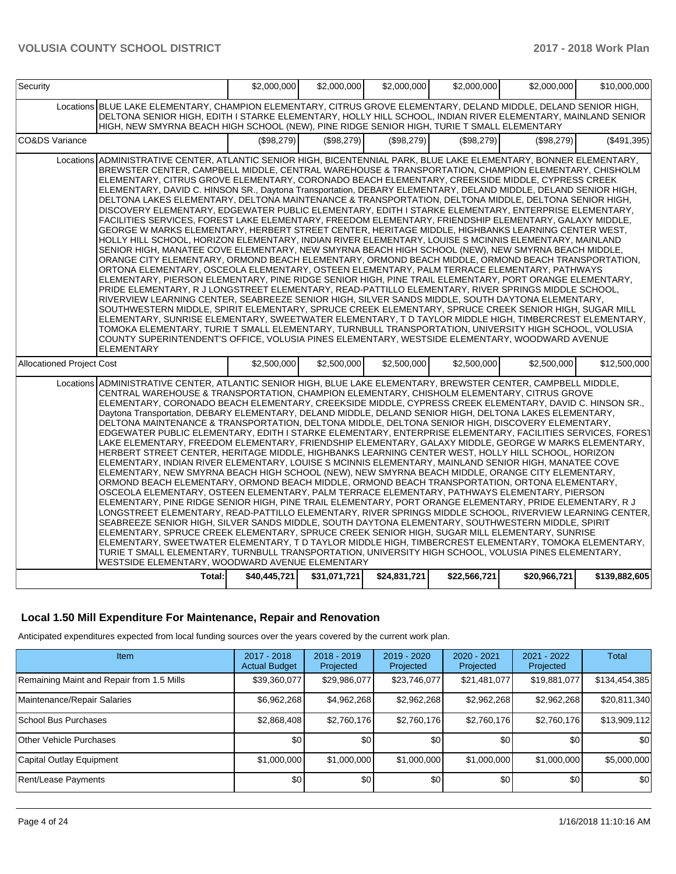| Security                         |                                                                                                                                                                                                                                                                                                                                                                                                                                                                                                                                                                                                                                                                                                                                                                                                                                                                                                                                                                                                                                                                                                                                                                                                                                                                                                                                                                                                                                                                                                                                                                                                                                                                                                                                                                                                                                                                                                                                                                                                                                                                            | \$2,000,000  | \$2,000,000  | \$2,000,000  | \$2,000,000  | \$2,000,000  | \$10,000,000  |
|----------------------------------|----------------------------------------------------------------------------------------------------------------------------------------------------------------------------------------------------------------------------------------------------------------------------------------------------------------------------------------------------------------------------------------------------------------------------------------------------------------------------------------------------------------------------------------------------------------------------------------------------------------------------------------------------------------------------------------------------------------------------------------------------------------------------------------------------------------------------------------------------------------------------------------------------------------------------------------------------------------------------------------------------------------------------------------------------------------------------------------------------------------------------------------------------------------------------------------------------------------------------------------------------------------------------------------------------------------------------------------------------------------------------------------------------------------------------------------------------------------------------------------------------------------------------------------------------------------------------------------------------------------------------------------------------------------------------------------------------------------------------------------------------------------------------------------------------------------------------------------------------------------------------------------------------------------------------------------------------------------------------------------------------------------------------------------------------------------------------|--------------|--------------|--------------|--------------|--------------|---------------|
|                                  | Locations BLUE LAKE ELEMENTARY. CHAMPION ELEMENTARY. CITRUS GROVE ELEMENTARY. DELAND MIDDLE. DELAND SENIOR HIGH.<br>DELTONA SENIOR HIGH, EDITH I STARKE ELEMENTARY, HOLLY HILL SCHOOL, INDIAN RIVER ELEMENTARY, MAINLAND SENIOR<br>HIGH, NEW SMYRNA BEACH HIGH SCHOOL (NEW), PINE RIDGE SENIOR HIGH, TURIE T SMALL ELEMENTARY                                                                                                                                                                                                                                                                                                                                                                                                                                                                                                                                                                                                                                                                                                                                                                                                                                                                                                                                                                                                                                                                                                                                                                                                                                                                                                                                                                                                                                                                                                                                                                                                                                                                                                                                              |              |              |              |              |              |               |
| CO&DS Variance                   |                                                                                                                                                                                                                                                                                                                                                                                                                                                                                                                                                                                                                                                                                                                                                                                                                                                                                                                                                                                                                                                                                                                                                                                                                                                                                                                                                                                                                                                                                                                                                                                                                                                                                                                                                                                                                                                                                                                                                                                                                                                                            | (\$98,279)   | (\$98,279)   | (\$98,279)   | (\$98,279)   | (\$98,279)   | (\$491,395)   |
|                                  | Locations ADMINISTRATIVE CENTER. ATLANTIC SENIOR HIGH. BICENTENNIAL PARK. BLUE LAKE ELEMENTARY. BONNER ELEMENTARY.<br>BREWSTER CENTER, CAMPBELL MIDDLE, CENTRAL WAREHOUSE & TRANSPORTATION, CHAMPION ELEMENTARY, CHISHOLM<br>ELEMENTARY, CITRUS GROVE ELEMENTARY, CORONADO BEACH ELEMENTARY, CREEKSIDE MIDDLE, CYPRESS CREEK<br>ELEMENTARY, DAVID C. HINSON SR., Daytona Transportation, DEBARY ELEMENTARY, DELAND MIDDLE, DELAND SENIOR HIGH,<br>DELTONA LAKES ELEMENTARY, DELTONA MAINTENANCE & TRANSPORTATION, DELTONA MIDDLE, DELTONA SENIOR HIGH,<br>DISCOVERY ELEMENTARY, EDGEWATER PUBLIC ELEMENTARY, EDITH I STARKE ELEMENTARY, ENTERPRISE ELEMENTARY,<br>FACILITIES SERVICES, FOREST LAKE ELEMENTARY, FREEDOM ELEMENTARY, FRIENDSHIP ELEMENTARY, GALAXY MIDDLE,<br>GEORGE W MARKS ELEMENTARY. HERBERT STREET CENTER. HERITAGE MIDDLE. HIGHBANKS LEARNING CENTER WEST.<br>HOLLY HILL SCHOOL, HORIZON ELEMENTARY, INDIAN RIVER ELEMENTARY, LOUISE S MCINNIS ELEMENTARY, MAINLAND<br>SENIOR HIGH, MANATEE COVE ELEMENTARY, NEW SMYRNA BEACH HIGH SCHOOL (NEW), NEW SMYRNA BEACH MIDDLE,<br>ORANGE CITY ELEMENTARY, ORMOND BEACH ELEMENTARY, ORMOND BEACH MIDDLE, ORMOND BEACH TRANSPORTATION,<br>ORTONA ELEMENTARY, OSCEOLA ELEMENTARY, OSTEEN ELEMENTARY, PALM TERRACE ELEMENTARY, PATHWAYS<br>ELEMENTARY, PIERSON ELEMENTARY, PINE RIDGE SENIOR HIGH, PINE TRAIL ELEMENTARY, PORT ORANGE ELEMENTARY,<br>PRIDE ELEMENTARY, R J LONGSTREET ELEMENTARY, READ-PATTILLO ELEMENTARY, RIVER SPRINGS MIDDLE SCHOOL,<br>RIVERVIEW LEARNING CENTER, SEABREEZE SENIOR HIGH, SILVER SANDS MIDDLE, SOUTH DAYTONA ELEMENTARY,<br>SOUTHWESTERN MIDDLE, SPIRIT ELEMENTARY, SPRUCE CREEK ELEMENTARY, SPRUCE CREEK SENIOR HIGH, SUGAR MILL<br>ELEMENTARY, SUNRISE ELEMENTARY, SWEETWATER ELEMENTARY, T D TAYLOR MIDDLE HIGH, TIMBERCREST ELEMENTARY,<br>TOMOKA ELEMENTARY, TURIE T SMALL ELEMENTARY, TURNBULL TRANSPORTATION, UNIVERSITY HIGH SCHOOL, VOLUSIA<br>COUNTY SUPERINTENDENT'S OFFICE, VOLUSIA PINES ELEMENTARY, WESTSIDE ELEMENTARY, WOODWARD AVENUE<br><b>ELEMENTARY</b> |              |              |              |              |              |               |
| <b>Allocationed Project Cost</b> |                                                                                                                                                                                                                                                                                                                                                                                                                                                                                                                                                                                                                                                                                                                                                                                                                                                                                                                                                                                                                                                                                                                                                                                                                                                                                                                                                                                                                                                                                                                                                                                                                                                                                                                                                                                                                                                                                                                                                                                                                                                                            | \$2,500,000  | \$2,500,000  | \$2,500,000  | \$2,500,000  | \$2,500,000  | \$12,500,000  |
|                                  | Locations ADMINISTRATIVE CENTER, ATLANTIC SENIOR HIGH, BLUE LAKE ELEMENTARY, BREWSTER CENTER, CAMPBELL MIDDLE,<br>CENTRAL WAREHOUSE & TRANSPORTATION, CHAMPION ELEMENTARY, CHISHOLM ELEMENTARY, CITRUS GROVE<br>ELEMENTARY, CORONADO BEACH ELEMENTARY, CREEKSIDE MIDDLE, CYPRESS CREEK ELEMENTARY, DAVID C. HINSON SR.,<br>Daytona Transportation, DEBARY ELEMENTARY, DELAND MIDDLE, DELAND SENIOR HIGH, DELTONA LAKES ELEMENTARY,<br>DELTONA MAINTENANCE & TRANSPORTATION, DELTONA MIDDLE, DELTONA SENIOR HIGH, DISCOVERY ELEMENTARY,<br>EDGEWATER PUBLIC ELEMENTARY, EDITH I STARKE ELEMENTARY, ENTERPRISE ELEMENTARY, FACILITIES SERVICES, FOREST<br>LAKE ELEMENTARY, FREEDOM ELEMENTARY, FRIENDSHIP ELEMENTARY, GALAXY MIDDLE, GEORGE W MARKS ELEMENTARY,<br>HERBERT STREET CENTER, HERITAGE MIDDLE, HIGHBANKS LEARNING CENTER WEST, HOLLY HILL SCHOOL, HORIZON<br>ELEMENTARY, INDIAN RIVER ELEMENTARY, LOUISE S MCINNIS ELEMENTARY, MAINLAND SENIOR HIGH, MANATEE COVE<br>ELEMENTARY, NEW SMYRNA BEACH HIGH SCHOOL (NEW), NEW SMYRNA BEACH MIDDLE, ORANGE CITY ELEMENTARY,<br>ORMOND BEACH ELEMENTARY, ORMOND BEACH MIDDLE, ORMOND BEACH TRANSPORTATION, ORTONA ELEMENTARY,<br>OSCEOLA ELEMENTARY, OSTEEN ELEMENTARY, PALM TERRACE ELEMENTARY, PATHWAYS ELEMENTARY, PIERSON<br>ELEMENTARY, PINE RIDGE SENIOR HIGH, PINE TRAIL ELEMENTARY, PORT ORANGE ELEMENTARY, PRIDE ELEMENTARY, R J<br>LONGSTREET ELEMENTARY. READ-PATTILLO ELEMENTARY. RIVER SPRINGS MIDDLE SCHOOL. RIVERVIEW LEARNING CENTER.<br>SEABREEZE SENIOR HIGH, SILVER SANDS MIDDLE, SOUTH DAYTONA ELEMENTARY, SOUTHWESTERN MIDDLE, SPIRIT<br>ELEMENTARY, SPRUCE CREEK ELEMENTARY, SPRUCE CREEK SENIOR HIGH, SUGAR MILL ELEMENTARY, SUNRISE<br>ELEMENTARY, SWEETWATER ELEMENTARY, T D TAYLOR MIDDLE HIGH, TIMBERCREST ELEMENTARY, TOMOKA ELEMENTARY,<br>TURIE T SMALL ELEMENTARY, TURNBULL TRANSPORTATION, UNIVERSITY HIGH SCHOOL, VOLUSIA PINES ELEMENTARY,<br>WESTSIDE ELEMENTARY, WOODWARD AVENUE ELEMENTARY                                                                                         |              |              |              |              |              |               |
|                                  | Total:                                                                                                                                                                                                                                                                                                                                                                                                                                                                                                                                                                                                                                                                                                                                                                                                                                                                                                                                                                                                                                                                                                                                                                                                                                                                                                                                                                                                                                                                                                                                                                                                                                                                                                                                                                                                                                                                                                                                                                                                                                                                     | \$40,445,721 | \$31,071,721 | \$24,831,721 | \$22,566,721 | \$20,966,721 | \$139,882,605 |

## **Local 1.50 Mill Expenditure For Maintenance, Repair and Renovation**

Anticipated expenditures expected from local funding sources over the years covered by the current work plan.

| Item                                      | 2017 - 2018<br><b>Actual Budget</b> | $2018 - 2019$<br>Projected | $2019 - 2020$<br>Projected | $2020 - 2021$<br>Projected | 2021 - 2022<br>Projected | Total         |
|-------------------------------------------|-------------------------------------|----------------------------|----------------------------|----------------------------|--------------------------|---------------|
| Remaining Maint and Repair from 1.5 Mills | \$39,360,077                        | \$29,986,077               | \$23,746,077               | \$21,481,077               | \$19,881,077             | \$134,454,385 |
| Maintenance/Repair Salaries               | \$6,962,268                         | \$4,962,268                | \$2,962,268                | \$2,962,268                | \$2,962,268              | \$20,811,340  |
| School Bus Purchases                      | \$2,868,408                         | \$2,760,176                | \$2,760,176                | \$2,760,176                | \$2,760,176              | \$13,909,112  |
| Other Vehicle Purchases                   | \$0                                 | \$0                        | \$0                        | \$0                        | \$0                      | \$0           |
| Capital Outlay Equipment                  | \$1,000,000                         | \$1,000,000                | \$1,000,000                | \$1,000,000                | \$1,000,000              | \$5,000,000   |
| Rent/Lease Payments                       | \$0                                 | \$0                        | \$0                        | \$0                        | \$0                      | \$0           |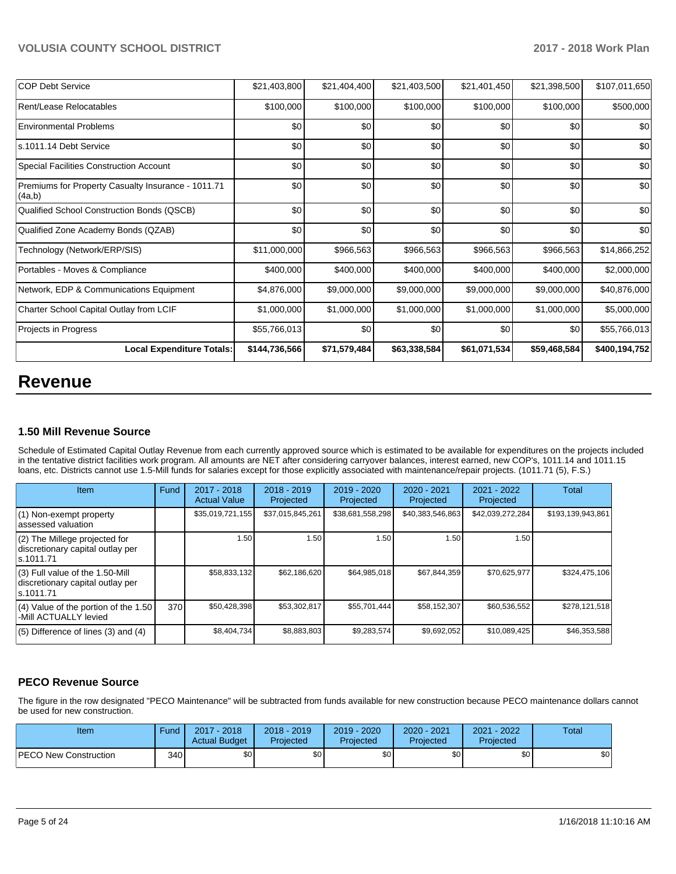| <b>COP Debt Service</b>                                      | \$21,403,800  | \$21,404,400 | \$21,403,500 | \$21,401,450 | \$21,398,500 | \$107,011,650 |
|--------------------------------------------------------------|---------------|--------------|--------------|--------------|--------------|---------------|
| Rent/Lease Relocatables                                      | \$100,000     | \$100,000    | \$100,000    | \$100,000    | \$100,000    | \$500,000     |
| <b>Environmental Problems</b>                                | \$0           | \$0          | \$0          | \$0          | \$0          | \$0           |
| ls.1011.14 Debt Service                                      | \$0           | \$0          | \$0          | \$0          | \$0          | \$0           |
| Special Facilities Construction Account                      | \$0           | \$0          | \$0          | \$0          | \$0          | \$0           |
| Premiums for Property Casualty Insurance - 1011.71<br>(4a,b) | \$0           | \$0          | \$0          | \$0          | \$0          | \$0           |
| Qualified School Construction Bonds (QSCB)                   | \$0           | \$0          | \$0          | \$0          | \$0          | \$0           |
| Qualified Zone Academy Bonds (QZAB)                          | \$0           | \$0          | \$0          | \$0          | \$0          | \$0           |
| Technology (Network/ERP/SIS)                                 | \$11,000,000  | \$966,563    | \$966,563    | \$966,563    | \$966,563    | \$14,866,252  |
| Portables - Moves & Compliance                               | \$400,000     | \$400,000    | \$400,000    | \$400,000    | \$400,000    | \$2,000,000   |
| Network, EDP & Communications Equipment                      | \$4,876,000   | \$9,000,000  | \$9,000,000  | \$9,000,000  | \$9,000,000  | \$40,876,000  |
| Charter School Capital Outlay from LCIF                      | \$1,000,000   | \$1,000,000  | \$1,000,000  | \$1,000,000  | \$1,000,000  | \$5,000,000   |
| Projects in Progress                                         | \$55,766,013  | \$0          | \$0          | \$0          | \$0          | \$55,766,013  |
| <b>Local Expenditure Totals:</b>                             | \$144,736,566 | \$71,579,484 | \$63,338,584 | \$61,071,534 | \$59,468,584 | \$400,194,752 |

## **Revenue**

### **1.50 Mill Revenue Source**

Schedule of Estimated Capital Outlay Revenue from each currently approved source which is estimated to be available for expenditures on the projects included in the tentative district facilities work program. All amounts are NET after considering carryover balances, interest earned, new COP's, 1011.14 and 1011.15 loans, etc. Districts cannot use 1.5-Mill funds for salaries except for those explicitly associated with maintenance/repair projects. (1011.71 (5), F.S.)

| <b>Item</b>                                                                         | Fund | $2017 - 2018$<br><b>Actual Value</b> | $2018 - 2019$<br>Projected | $2019 - 2020$<br>Projected | $2020 - 2021$<br>Projected | $2021 - 2022$<br>Projected | <b>Total</b>      |
|-------------------------------------------------------------------------------------|------|--------------------------------------|----------------------------|----------------------------|----------------------------|----------------------------|-------------------|
| (1) Non-exempt property<br>lassessed valuation                                      |      | \$35,019,721,155                     | \$37,015,845,261           | \$38,681,558,298           | \$40,383,546,863           | \$42,039,272,284           | \$193,139,943,861 |
| (2) The Millege projected for<br>discretionary capital outlay per<br>ls.1011.71     |      | 1.50                                 | 1.50                       | 1.50                       | 1.50                       | 1.50                       |                   |
| $(3)$ Full value of the 1.50-Mill<br>discretionary capital outlay per<br>ls.1011.71 |      | \$58,833,132                         | \$62,186,620               | \$64,985,018               | \$67,844,359               | \$70,625,977               | \$324,475,106     |
| (4) Value of the portion of the 1.50<br>-Mill ACTUALLY levied                       | 370  | \$50,428,398                         | \$53,302,817               | \$55,701,444               | \$58,152,307               | \$60,536,552               | \$278,121,518     |
| $(5)$ Difference of lines $(3)$ and $(4)$                                           |      | \$8,404,734                          | \$8,883,803                | \$9,283,574                | \$9,692,052                | \$10,089,425               | \$46,353,588      |

## **PECO Revenue Source**

The figure in the row designated "PECO Maintenance" will be subtracted from funds available for new construction because PECO maintenance dollars cannot be used for new construction.

| Item                         | Fund | $2017 - 2018$<br><b>Actual Budget</b> | $2018 - 2019$<br>Projected | $2019 - 2020$<br>Projected | 2020 - 2021<br>Projected | $-2022$<br>2021<br>Projected | Total |
|------------------------------|------|---------------------------------------|----------------------------|----------------------------|--------------------------|------------------------------|-------|
| <b>PECO New Construction</b> | 340  | \$0 <sub>1</sub>                      | \$0 <sub>1</sub>           | \$0                        | \$0                      | \$0                          | \$0   |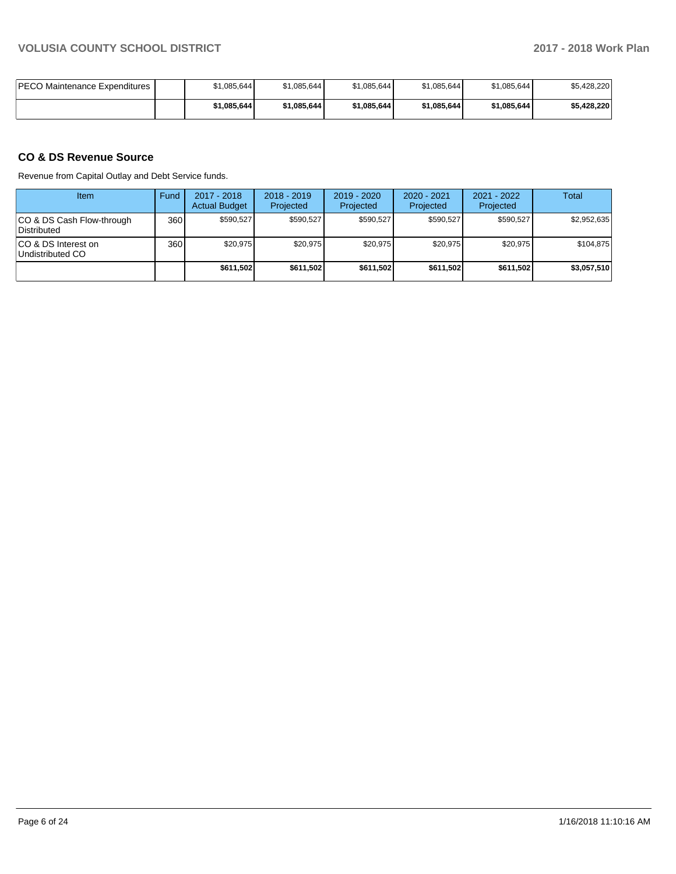| <b>IPECO Maintenance Expenditures</b> | \$1,085,644 | \$1,085,644 | \$1,085,644 | \$1,085,644 | \$1,085,644 | \$5,428,220 |
|---------------------------------------|-------------|-------------|-------------|-------------|-------------|-------------|
|                                       | \$1,085,644 | \$1.085.644 | \$1,085,644 | \$1,085,644 | \$1,085,644 | \$5.428.220 |

## **CO & DS Revenue Source**

Revenue from Capital Outlay and Debt Service funds.

| Item                                      | Fund | 2017 - 2018<br><b>Actual Budget</b> | $2018 - 2019$<br>Projected | $2019 - 2020$<br>Projected | $2020 - 2021$<br>Projected | $2021 - 2022$<br>Projected | Total       |
|-------------------------------------------|------|-------------------------------------|----------------------------|----------------------------|----------------------------|----------------------------|-------------|
| ICO & DS Cash Flow-through<br>Distributed | 360  | \$590.527                           | \$590.527                  | \$590.527                  | \$590,527                  | \$590.527                  | \$2.952.635 |
| ICO & DS Interest on<br>Undistributed CO  | 360  | \$20,975                            | \$20,975                   | \$20.975                   | \$20,975                   | \$20.975                   | \$104.875   |
|                                           |      | \$611,502                           | \$611,502                  | \$611.502                  | \$611,502                  | \$611.502                  | \$3,057,510 |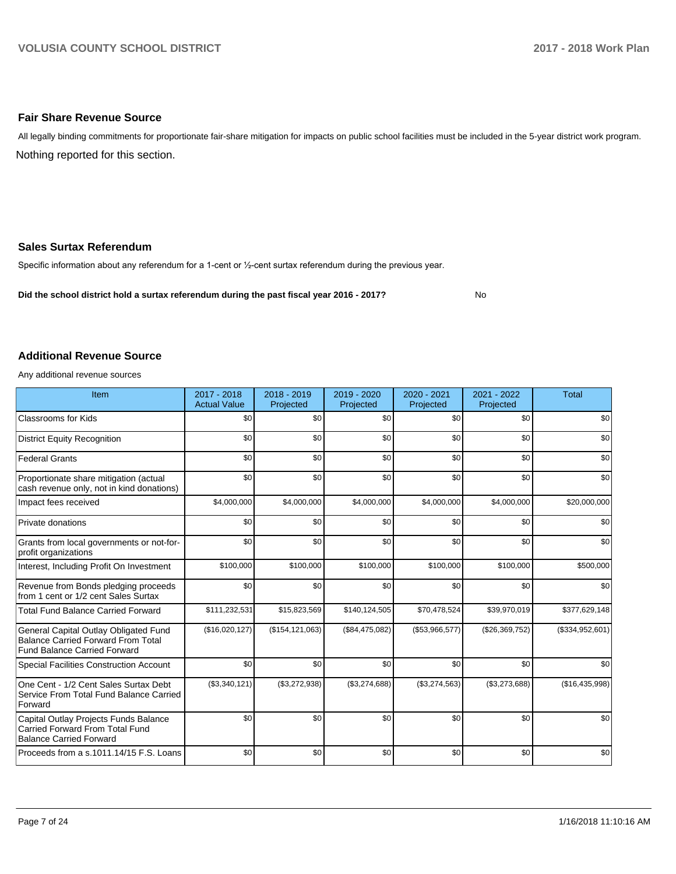#### **Fair Share Revenue Source**

Nothing reported for this section. All legally binding commitments for proportionate fair-share mitigation for impacts on public school facilities must be included in the 5-year district work program.

#### **Sales Surtax Referendum**

Specific information about any referendum for a 1-cent or 1/2-cent surtax referendum during the previous year.

**Did the school district hold a surtax referendum during the past fiscal year 2016 - 2017?**

No

#### **Additional Revenue Source**

Any additional revenue sources

| Item                                                                                                                      | 2017 - 2018<br><b>Actual Value</b> | 2018 - 2019<br>Projected | 2019 - 2020<br>Projected | 2020 - 2021<br>Projected | 2021 - 2022<br>Projected | <b>Total</b>    |
|---------------------------------------------------------------------------------------------------------------------------|------------------------------------|--------------------------|--------------------------|--------------------------|--------------------------|-----------------|
| <b>Classrooms for Kids</b>                                                                                                | \$0                                | \$0                      | \$0                      | \$0                      | \$0                      | \$0             |
| <b>District Equity Recognition</b>                                                                                        | \$0                                | \$0                      | \$0                      | \$0                      | \$0                      | \$0             |
| <b>Federal Grants</b>                                                                                                     | \$0                                | \$0                      | \$0                      | \$0                      | \$0                      | \$0             |
| Proportionate share mitigation (actual<br>cash revenue only, not in kind donations)                                       | \$0                                | \$0                      | \$0                      | \$0                      | \$0                      | \$0             |
| Impact fees received                                                                                                      | \$4,000,000                        | \$4,000,000              | \$4,000,000              | \$4,000,000              | \$4,000,000              | \$20,000,000    |
| Private donations                                                                                                         | \$0                                | \$0                      | \$0                      | \$0                      | \$0                      | \$0             |
| Grants from local governments or not-for-<br>profit organizations                                                         | \$0                                | \$0                      | \$0                      | \$0                      | \$0                      | \$0             |
| Interest, Including Profit On Investment                                                                                  | \$100,000                          | \$100,000                | \$100,000                | \$100,000                | \$100,000                | \$500,000       |
| Revenue from Bonds pledging proceeds<br>from 1 cent or 1/2 cent Sales Surtax                                              | \$0                                | \$0                      | \$0                      | \$0                      | \$0                      | \$0             |
| <b>Total Fund Balance Carried Forward</b>                                                                                 | \$111,232,531                      | \$15,823,569             | \$140,124,505            | \$70,478,524             | \$39,970,019             | \$377,629,148   |
| General Capital Outlay Obligated Fund<br><b>Balance Carried Forward From Total</b><br><b>Fund Balance Carried Forward</b> | (\$16,020,127)                     | (\$154, 121, 063)        | (\$84,475,082)           | (\$53,966,577)           | (\$26,369,752)           | (\$334,952,601) |
| <b>Special Facilities Construction Account</b>                                                                            | \$0                                | \$0                      | \$0                      | \$0                      | \$0                      | \$0             |
| One Cent - 1/2 Cent Sales Surtax Debt<br>Service From Total Fund Balance Carried<br>Forward                               | (\$3,340,121)                      | (\$3,272,938)            | (\$3,274,688)            | (\$3,274,563)            | (\$3,273,688)            | (\$16,435,998)  |
| Capital Outlay Projects Funds Balance<br>Carried Forward From Total Fund<br><b>Balance Carried Forward</b>                | \$0                                | \$0                      | \$0                      | \$0                      | \$0                      | \$0             |
| Proceeds from a s.1011.14/15 F.S. Loans                                                                                   | \$0                                | \$0                      | \$0                      | \$0                      | \$0                      | \$0             |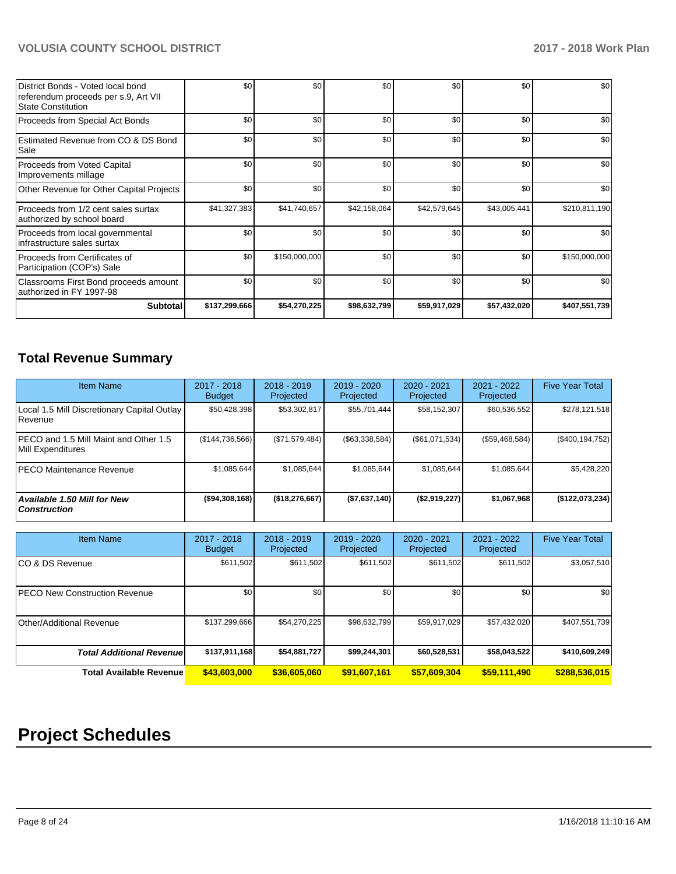| District Bonds - Voted local bond<br>referendum proceeds per s.9, Art VII<br><b>State Constitution</b> | \$0           | \$0           | \$0          | \$0          | \$0          | \$0           |
|--------------------------------------------------------------------------------------------------------|---------------|---------------|--------------|--------------|--------------|---------------|
| Proceeds from Special Act Bonds                                                                        | \$0           | \$0           | \$0          | \$0          | \$0          | \$0           |
| Estimated Revenue from CO & DS Bond<br>Sale                                                            | \$0           | \$0           | \$0          | \$0          | \$0          | \$0           |
| Proceeds from Voted Capital<br>Improvements millage                                                    | \$0           | \$0           | \$0          | \$0          | \$0          | \$0           |
| Other Revenue for Other Capital Projects                                                               | \$0           | \$0           | \$0          | \$0          | \$0          | \$0           |
| Proceeds from 1/2 cent sales surtax<br>authorized by school board                                      | \$41,327,383  | \$41,740,657  | \$42,158,064 | \$42,579,645 | \$43,005,441 | \$210,811,190 |
| Proceeds from local governmental<br>infrastructure sales surtax                                        | \$0           | \$0           | \$0          | \$0          | \$0          | \$0           |
| Proceeds from Certificates of<br>Participation (COP's) Sale                                            | \$0           | \$150,000,000 | \$0          | \$0          | \$0          | \$150,000,000 |
| Classrooms First Bond proceeds amount<br>authorized in FY 1997-98                                      | \$0           | \$0           | \$0          | \$0          | \$0          | \$0           |
| Subtotal                                                                                               | \$137,299,666 | \$54,270,225  | \$98,632,799 | \$59,917,029 | \$57,432,020 | \$407,551,739 |

## **Total Revenue Summary**

| <b>Item Name</b>                                              | $2017 - 2018$<br><b>Budget</b> | $2018 - 2019$<br>Projected | $2019 - 2020$<br>Projected | $2020 - 2021$<br>Projected | $2021 - 2022$<br>Projected | <b>Five Year Total</b> |
|---------------------------------------------------------------|--------------------------------|----------------------------|----------------------------|----------------------------|----------------------------|------------------------|
| Local 1.5 Mill Discretionary Capital Outlay<br><b>Revenue</b> | \$50,428,398                   | \$53,302,817               | \$55,701,444               | \$58,152,307               | \$60,536,552               | \$278,121,518          |
| PECO and 1.5 Mill Maint and Other 1.5<br>Mill Expenditures    | (\$144,736,566)                | (\$71,579,484)             | (\$63,338,584)             | (S61,071,534)              | (\$59,468,584)             | (\$400, 194, 752)      |
| <b>IPECO Maintenance Revenue</b>                              | \$1,085,644                    | \$1,085,644                | \$1,085,644                | \$1,085,644                | \$1,085,644                | \$5,428,220            |
| <b>Available 1.50 Mill for New</b><br><b>Construction</b>     | $($ \$94,308,168)              | ( \$18, 276, 667)          | (\$7,637,140)              | (\$2,919,227)              | \$1,067,968                | ( \$122,073,234)       |

| <b>Item Name</b>                     | 2017 - 2018<br><b>Budget</b> | $2018 - 2019$<br>Projected | 2019 - 2020<br>Projected | 2020 - 2021<br>Projected | 2021 - 2022<br>Projected | <b>Five Year Total</b> |
|--------------------------------------|------------------------------|----------------------------|--------------------------|--------------------------|--------------------------|------------------------|
| ICO & DS Revenue                     | \$611,502                    | \$611,502                  | \$611,502                | \$611,502                | \$611,502                | \$3,057,510            |
| <b>PECO New Construction Revenue</b> | \$0                          | \$0                        | \$0                      | \$0                      | \$0                      | \$0                    |
| Other/Additional Revenue             | \$137,299,666                | \$54,270,225               | \$98,632,799             | \$59,917,029             | \$57,432,020             | \$407,551,739          |
| <b>Total Additional Revenuel</b>     | \$137,911,168                | \$54,881,727               | \$99,244,301             | \$60,528,531             | \$58,043,522             | \$410,609,249          |
| <b>Total Available Revenue</b>       | \$43,603,000                 | \$36,605,060               | \$91,607,161             | \$57,609,304             | \$59,111,490             | \$288,536,015          |

# **Project Schedules**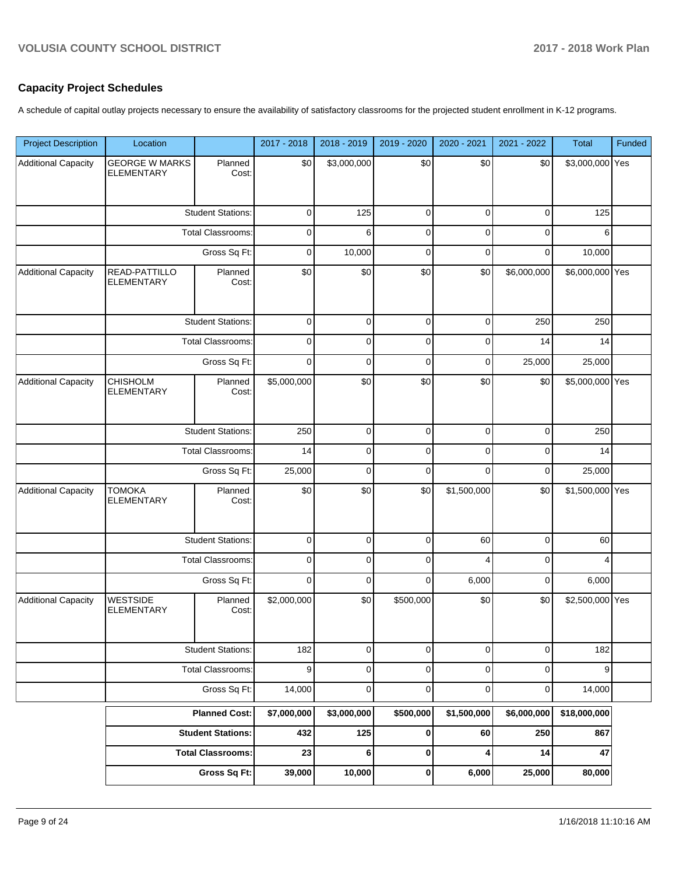## **Capacity Project Schedules**

A schedule of capital outlay projects necessary to ensure the availability of satisfactory classrooms for the projected student enrollment in K-12 programs.

| <b>Project Description</b> | Location                                   |                          | 2017 - 2018 | 2018 - 2019 | 2019 - 2020 | 2020 - 2021 | 2021 - 2022 | <b>Total</b>    | Funded |
|----------------------------|--------------------------------------------|--------------------------|-------------|-------------|-------------|-------------|-------------|-----------------|--------|
| <b>Additional Capacity</b> | <b>GEORGE W MARKS</b><br><b>ELEMENTARY</b> | Planned<br>Cost:         | \$0         | \$3,000,000 | \$0         | \$0         | \$0         | \$3,000,000 Yes |        |
|                            |                                            | <b>Student Stations:</b> | $\mathbf 0$ | 125         | $\mathbf 0$ | $\mathbf 0$ | $\mathbf 0$ | 125             |        |
|                            |                                            | <b>Total Classrooms:</b> | $\mathbf 0$ | 6           | $\mathbf 0$ | $\mathbf 0$ | $\mathbf 0$ | 6               |        |
|                            |                                            | Gross Sq Ft:             | $\mathbf 0$ | 10,000      | $\mathbf 0$ | $\mathbf 0$ | $\mathbf 0$ | 10,000          |        |
| Additional Capacity        | READ-PATTILLO<br><b>ELEMENTARY</b>         | Planned<br>Cost:         | \$0         | \$0         | \$0         | \$0         | \$6,000,000 | \$6,000,000 Yes |        |
|                            |                                            | <b>Student Stations:</b> | 0           | 0           | 0           | 0           | 250         | 250             |        |
|                            |                                            | <b>Total Classrooms:</b> | $\mathbf 0$ | 0           | $\mathbf 0$ | $\mathbf 0$ | 14          | 14              |        |
|                            |                                            | Gross Sq Ft:             | $\mathbf 0$ | 0           | $\mathbf 0$ | 0           | 25,000      | 25,000          |        |
| <b>Additional Capacity</b> | <b>CHISHOLM</b><br><b>ELEMENTARY</b>       | Planned<br>Cost:         | \$5,000,000 | \$0         | \$0         | \$0         | \$0         | \$5,000,000 Yes |        |
|                            | <b>Student Stations:</b>                   |                          | 250         | $\mathbf 0$ | $\mathbf 0$ | $\mathbf 0$ | $\mathbf 0$ | 250             |        |
|                            | Total Classrooms:                          |                          | 14          | $\mathbf 0$ | $\mathbf 0$ | $\mathbf 0$ | $\mathbf 0$ | 14              |        |
|                            | Gross Sq Ft:                               |                          | 25,000      | $\mathbf 0$ | $\mathbf 0$ | $\Omega$    | $\mathbf 0$ | 25,000          |        |
| Additional Capacity        | <b>TOMOKA</b><br><b>ELEMENTARY</b>         | Planned<br>Cost:         | \$0         | \$0         | \$0         | \$1,500,000 | \$0         | \$1,500,000 Yes |        |
|                            |                                            | <b>Student Stations:</b> | 0           | $\mathbf 0$ | 0           | 60          | 0           | 60              |        |
|                            |                                            | <b>Total Classrooms:</b> | $\mathbf 0$ | $\mathbf 0$ | $\mathbf 0$ | 4           | 0           | 4               |        |
|                            |                                            | Gross Sq Ft:             | $\mathbf 0$ | 0           | $\mathbf 0$ | 6,000       | 0           | 6,000           |        |
| <b>Additional Capacity</b> | <b>WESTSIDE</b><br><b>ELEMENTARY</b>       | Planned<br>Cost:         | \$2,000,000 | \$0         | \$500,000   | \$0         | \$0         | \$2,500,000 Yes |        |
|                            | <b>Student Stations:</b>                   |                          | 182         | $\mathbf 0$ | $\pmb{0}$   | $\pmb{0}$   | $\mathsf 0$ | 182             |        |
|                            |                                            | <b>Total Classrooms:</b> | 9           | $\mathbf 0$ | $\pmb{0}$   | $\mathbf 0$ | $\mathbf 0$ | 9               |        |
|                            | Gross Sq Ft:                               |                          | 14,000      | $\mathbf 0$ | $\mathbf 0$ | $\mathbf 0$ | $\mathbf 0$ | 14,000          |        |
|                            |                                            | <b>Planned Cost:</b>     | \$7,000,000 | \$3,000,000 | \$500,000   | \$1,500,000 | \$6,000,000 | \$18,000,000    |        |
|                            |                                            | <b>Student Stations:</b> | 432         | 125         | $\pmb{0}$   | 60          | 250         | 867             |        |
|                            |                                            | <b>Total Classrooms:</b> | 23          | 6           | $\pmb{0}$   | 4           | 14          | 47              |        |
|                            |                                            | <b>Gross Sq Ft:</b>      | 39,000      | 10,000      | $\pmb{0}$   | 6,000       | 25,000      | 80,000          |        |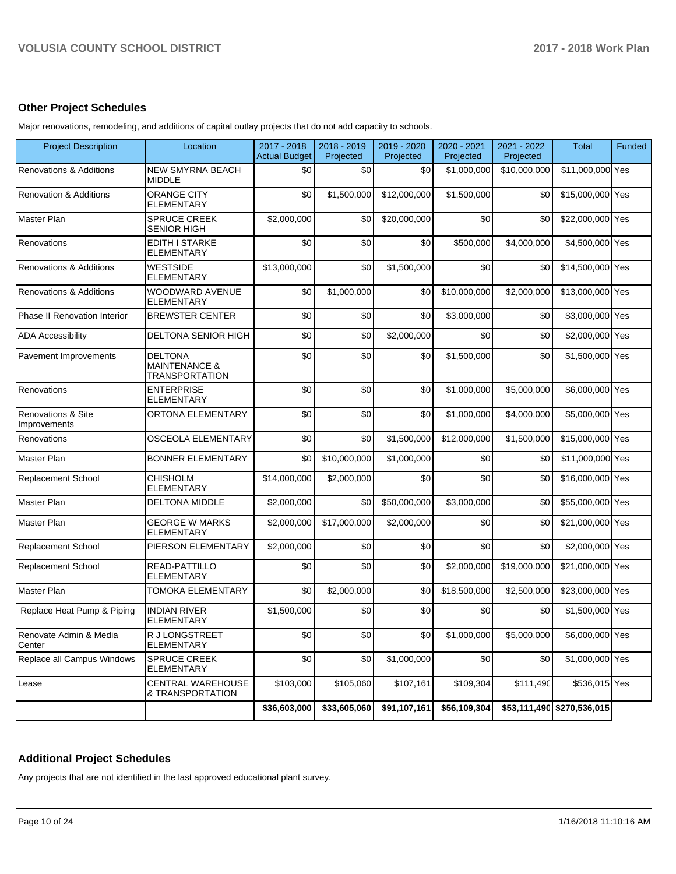### **Other Project Schedules**

Major renovations, remodeling, and additions of capital outlay projects that do not add capacity to schools.

| <b>Project Description</b>                    | Location                                                            | 2017 - 2018<br><b>Actual Budget</b> | 2018 - 2019<br>Projected | 2019 - 2020<br>Projected | 2020 - 2021<br>Projected | 2021 - 2022<br>Projected | <b>Total</b>               | Funded |
|-----------------------------------------------|---------------------------------------------------------------------|-------------------------------------|--------------------------|--------------------------|--------------------------|--------------------------|----------------------------|--------|
| Renovations & Additions                       | <b>NEW SMYRNA BEACH</b><br><b>MIDDLE</b>                            | \$0                                 | \$0                      | \$0                      | \$1,000,000              | \$10,000,000             | \$11,000,000 Yes           |        |
| <b>Renovation &amp; Additions</b>             | <b>ORANGE CITY</b><br><b>ELEMENTARY</b>                             | \$0                                 | \$1,500,000              | \$12,000,000             | \$1,500,000              | \$0                      | \$15,000,000 Yes           |        |
| Master Plan                                   | <b>SPRUCE CREEK</b><br><b>SENIOR HIGH</b>                           | \$2,000,000                         | \$0                      | \$20,000,000             | \$0                      | \$0                      | \$22,000,000 Yes           |        |
| Renovations                                   | <b>EDITH I STARKE</b><br><b>ELEMENTARY</b>                          | \$0                                 | \$0                      | \$0                      | \$500,000                | \$4,000,000              | \$4,500,000 Yes            |        |
| <b>Renovations &amp; Additions</b>            | <b>WESTSIDE</b><br><b>ELEMENTARY</b>                                | \$13,000,000                        | \$0                      | \$1,500,000              | \$0                      | \$0                      | \$14,500,000 Yes           |        |
| Renovations & Additions                       | WOODWARD AVENUE<br><b>ELEMENTARY</b>                                | \$0                                 | \$1,000,000              | \$0                      | \$10,000,000             | \$2,000,000              | \$13,000,000 Yes           |        |
| Phase II Renovation Interior                  | <b>BREWSTER CENTER</b>                                              | \$0                                 | \$0                      | \$0                      | \$3,000,000              | \$0                      | \$3,000,000 Yes            |        |
| <b>ADA Accessibility</b>                      | DELTONA SENIOR HIGH                                                 | \$0                                 | \$0                      | \$2,000,000              | \$0                      | \$0                      | \$2,000,000 Yes            |        |
| Pavement Improvements                         | <b>DELTONA</b><br><b>MAINTENANCE &amp;</b><br><b>TRANSPORTATION</b> | \$0                                 | \$0                      | \$0                      | \$1,500,000              | \$0                      | \$1,500,000 Yes            |        |
| Renovations                                   | <b>ENTERPRISE</b><br><b>ELEMENTARY</b>                              | \$0                                 | \$0                      | \$0                      | \$1,000,000              | \$5,000,000              | \$6,000,000 Yes            |        |
| <b>Renovations &amp; Site</b><br>Improvements | ORTONA ELEMENTARY                                                   | \$0                                 | \$0                      | \$0                      | \$1,000,000              | \$4,000,000              | \$5,000,000 Yes            |        |
| Renovations                                   | OSCEOLA ELEMENTARY                                                  | \$0                                 | \$0                      | \$1,500,000              | \$12,000,000             | \$1,500,000              | \$15,000,000 Yes           |        |
| Master Plan                                   | <b>BONNER ELEMENTARY</b>                                            | \$0                                 | \$10,000,000             | \$1,000,000              | \$0                      | \$0                      | \$11,000,000 Yes           |        |
| <b>Replacement School</b>                     | <b>CHISHOLM</b><br><b>ELEMENTARY</b>                                | \$14,000,000                        | \$2,000,000              | \$0                      | \$0                      | \$0                      | \$16,000,000 Yes           |        |
| Master Plan                                   | <b>DELTONA MIDDLE</b>                                               | \$2,000,000                         | \$0                      | \$50,000,000             | \$3,000,000              | \$0                      | \$55,000,000 Yes           |        |
| Master Plan                                   | <b>GEORGE W MARKS</b><br><b>ELEMENTARY</b>                          | \$2,000,000                         | \$17,000,000             | \$2,000,000              | \$0                      | \$0                      | \$21,000,000 Yes           |        |
| <b>Replacement School</b>                     | <b>PIERSON ELEMENTARY</b>                                           | \$2,000,000                         | \$0                      | \$0                      | \$0                      | \$0                      | \$2,000,000 Yes            |        |
| <b>Replacement School</b>                     | <b>READ-PATTILLO</b><br><b>ELEMENTARY</b>                           | \$0                                 | \$0                      | \$0                      | \$2,000,000              | \$19,000,000             | \$21,000,000 Yes           |        |
| Master Plan                                   | <b>TOMOKA ELEMENTARY</b>                                            | \$0                                 | \$2,000,000              | \$0                      | \$18,500,000             | \$2,500,000              | \$23,000,000 Yes           |        |
| Replace Heat Pump & Piping                    | <b>INDIAN RIVER</b><br><b>ELEMENTARY</b>                            | \$1,500,000                         | \$0                      | \$0                      | \$0                      | \$0                      | \$1,500,000 Yes            |        |
| Renovate Admin & Media<br>Center              | R J LONGSTREET<br><b>ELEMENTARY</b>                                 | \$0                                 | \$0                      | \$0                      | \$1,000,000              | \$5,000,000              | \$6,000,000 Yes            |        |
| Replace all Campus Windows                    | <b>SPRUCE CREEK</b><br><b>ELEMENTARY</b>                            | \$0                                 | \$0                      | \$1,000,000              | \$0                      | \$0                      | \$1,000,000 Yes            |        |
| Lease                                         | <b>CENTRAL WAREHOUSE</b><br>& TRANSPORTATION                        | \$103,000                           | \$105,060                | \$107,161                | \$109,304                | \$111,490                | \$536,015 Yes              |        |
|                                               |                                                                     | \$36,603,000                        | \$33,605,060             | \$91,107,161             | \$56,109,304             |                          | \$53,111,490 \$270,536,015 |        |

## **Additional Project Schedules**

Any projects that are not identified in the last approved educational plant survey.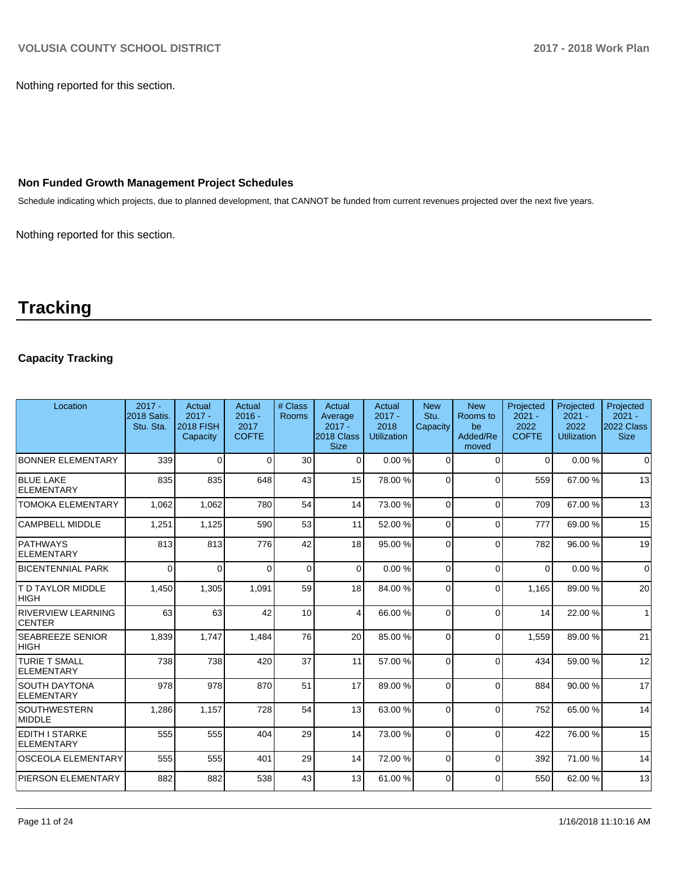Nothing reported for this section.

## **Non Funded Growth Management Project Schedules**

Schedule indicating which projects, due to planned development, that CANNOT be funded from current revenues projected over the next five years.

Nothing reported for this section.

# **Tracking**

## **Capacity Tracking**

| Location                                   | $2017 -$<br>2018 Satis.<br>Stu. Sta. | Actual<br>$2017 -$<br><b>2018 FISH</b><br>Capacity | Actual<br>$2016 -$<br>2017<br><b>COFTE</b> | # Class<br><b>Rooms</b> | Actual<br>Average<br>$2017 -$<br>2018 Class<br><b>Size</b> | Actual<br>$2017 -$<br>2018<br><b>Utilization</b> | <b>New</b><br>Stu.<br>Capacity | <b>New</b><br>Rooms to<br>be<br>Added/Re<br>moved | Projected<br>$2021 -$<br>2022<br><b>COFTE</b> | Projected<br>$2021 -$<br>2022<br><b>Utilization</b> | Projected<br>$2021 -$<br>2022 Class<br><b>Size</b> |
|--------------------------------------------|--------------------------------------|----------------------------------------------------|--------------------------------------------|-------------------------|------------------------------------------------------------|--------------------------------------------------|--------------------------------|---------------------------------------------------|-----------------------------------------------|-----------------------------------------------------|----------------------------------------------------|
| <b>BONNER ELEMENTARY</b>                   | 339                                  | $\Omega$                                           | $\Omega$                                   | 30                      | $\Omega$                                                   | 0.00%                                            | $\Omega$                       | $\Omega$                                          | $\Omega$                                      | 0.00%                                               | $\Omega$                                           |
| <b>BLUE LAKE</b><br>ELEMENTARY             | 835                                  | 835                                                | 648                                        | 43                      | 15                                                         | 78.00 %                                          | $\Omega$                       | $\Omega$                                          | 559                                           | 67.00 %                                             | 13                                                 |
| <b>TOMOKA ELEMENTARY</b>                   | 1.062                                | 1,062                                              | 780                                        | 54                      | 14                                                         | 73.00 %                                          | $\Omega$                       | $\Omega$                                          | 709                                           | 67.00 %                                             | 13                                                 |
| <b>CAMPBELL MIDDLE</b>                     | 1,251                                | 1,125                                              | 590                                        | 53                      | 11                                                         | 52.00 %                                          | $\Omega$                       | $\Omega$                                          | 777                                           | 69.00 %                                             | 15                                                 |
| PATHWAYS<br>ELEMENTARY                     | 813                                  | 813                                                | 776                                        | 42                      | 18                                                         | 95.00 %                                          | $\Omega$                       | $\Omega$                                          | 782                                           | 96.00 %                                             | 19                                                 |
| <b>BICENTENNIAL PARK</b>                   | $\Omega$                             | $\Omega$                                           | $\Omega$                                   | $\Omega$                | $\Omega$                                                   | 0.00%                                            | $\Omega$                       | $\Omega$                                          | $\Omega$                                      | 0.00%                                               | $\Omega$                                           |
| <b>T D TAYLOR MIDDLE</b><br> HIGH          | 1,450                                | 1,305                                              | 1,091                                      | 59                      | 18                                                         | 84.00 %                                          | $\Omega$                       | $\Omega$                                          | 1,165                                         | 89.00 %                                             | 20                                                 |
| <b>RIVERVIEW LEARNING</b><br><b>CENTER</b> | 63                                   | 63                                                 | 42                                         | 10                      | 4                                                          | 66.00 %                                          | $\Omega$                       | $\Omega$                                          | 14                                            | 22.00 %                                             | $\overline{1}$                                     |
| <b>SEABREEZE SENIOR</b><br><b>HIGH</b>     | 1,839                                | 1,747                                              | 1,484                                      | 76                      | 20                                                         | 85.00 %                                          | $\Omega$                       | $\Omega$                                          | 1.559                                         | 89.00 %                                             | 21                                                 |
| <b>TURIE T SMALL</b><br>ELEMENTARY         | 738                                  | 738                                                | 420                                        | 37                      | 11                                                         | 57.00 %                                          | $\Omega$                       | $\Omega$                                          | 434                                           | 59.00 %                                             | 12                                                 |
| ISOUTH DAYTONA<br>ELEMENTARY               | 978                                  | 978                                                | 870                                        | 51                      | 17                                                         | 89.00 %                                          | $\Omega$                       | $\Omega$                                          | 884                                           | 90.00 %                                             | 17                                                 |
| <b>SOUTHWESTERN</b><br>MIDDLE              | 1,286                                | 1.157                                              | 728                                        | 54                      | 13                                                         | 63.00 %                                          | $\Omega$                       | $\Omega$                                          | 752                                           | 65.00 %                                             | 14                                                 |
| EDITH I STARKE<br>ELEMENTARY               | 555                                  | 555                                                | 404                                        | 29                      | 14                                                         | 73.00 %                                          | $\Omega$                       | $\Omega$                                          | 422                                           | 76.00 %                                             | 15                                                 |
| <b>OSCEOLA ELEMENTARY</b>                  | 555                                  | 555                                                | 401                                        | 29                      | 14                                                         | 72.00 %                                          | $\Omega$                       | $\Omega$                                          | 392                                           | 71.00 %                                             | 14                                                 |
| <b>PIERSON ELEMENTARY</b>                  | 882                                  | 882                                                | 538                                        | 43                      | 13                                                         | 61.00%                                           | $\Omega$                       | $\Omega$                                          | 550                                           | 62.00 %                                             | 13                                                 |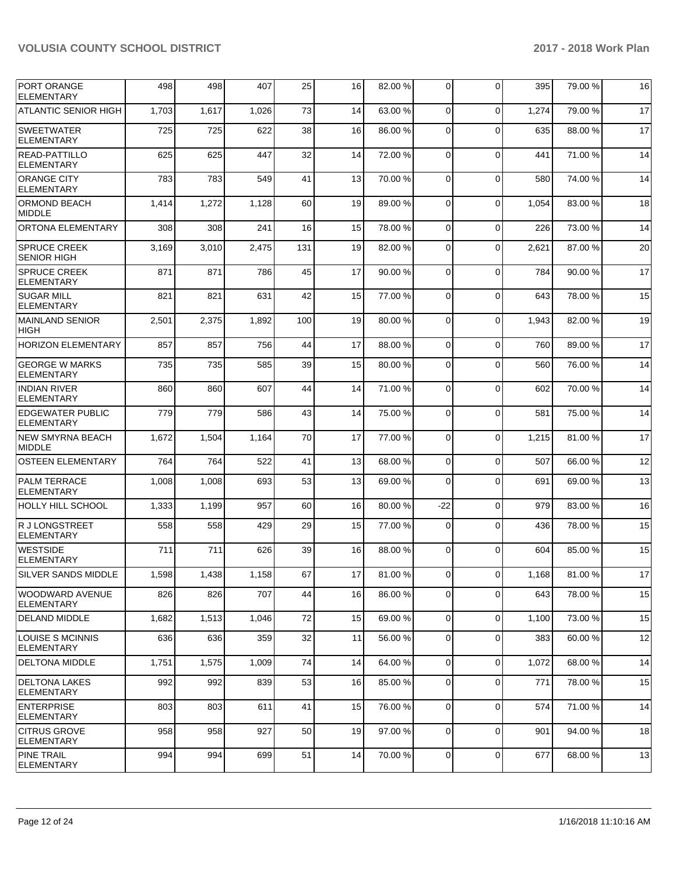| <b>PORT ORANGE</b><br>ELEMENTARY             | 498   | 498   | 407   | 25  | 16 | 82.00 % | 0              | $\Omega$       | 395   | 79.00 % | 16     |
|----------------------------------------------|-------|-------|-------|-----|----|---------|----------------|----------------|-------|---------|--------|
| ATLANTIC SENIOR HIGH                         | 1,703 | 1,617 | 1,026 | 73  | 14 | 63.00 % | 0              | $\Omega$       | 1,274 | 79.00 % | 17     |
| <b>SWEETWATER</b><br><b>ELEMENTARY</b>       | 725   | 725   | 622   | 38  | 16 | 86.00 % | $\mathbf 0$    | $\Omega$       | 635   | 88.00 % | 17     |
| <b>READ-PATTILLO</b><br><b>ELEMENTARY</b>    | 625   | 625   | 447   | 32  | 14 | 72.00 % | 0              | $\mathbf 0$    | 441   | 71.00 % | 14     |
| <b>ORANGE CITY</b><br><b>ELEMENTARY</b>      | 783   | 783   | 549   | 41  | 13 | 70.00 % | $\Omega$       | $\Omega$       | 580   | 74.00 % | 14     |
| ORMOND BEACH<br><b>MIDDLE</b>                | 1,414 | 1,272 | 1,128 | 60  | 19 | 89.00 % | $\mathbf 0$    | $\Omega$       | 1,054 | 83.00 % | 18     |
| ORTONA ELEMENTARY                            | 308   | 308   | 241   | 16  | 15 | 78.00 % | 0              | $\mathbf 0$    | 226   | 73.00 % | 14     |
| <b>SPRUCE CREEK</b><br><b>SENIOR HIGH</b>    | 3,169 | 3,010 | 2,475 | 131 | 19 | 82.00 % | 0              | $\mathbf 0$    | 2,621 | 87.00 % | 20     |
| SPRUCE CREEK<br><b>ELEMENTARY</b>            | 871   | 871   | 786   | 45  | 17 | 90.00 % | $\mathbf 0$    | $\Omega$       | 784   | 90.00 % | 17     |
| <b>SUGAR MILL</b><br><b>ELEMENTARY</b>       | 821   | 821   | 631   | 42  | 15 | 77.00 % | $\mathbf 0$    | $\Omega$       | 643   | 78.00 % | 15     |
| <b>MAINLAND SENIOR</b><br><b>HIGH</b>        | 2,501 | 2,375 | 1,892 | 100 | 19 | 80.00%  | 0              | $\mathbf 0$    | 1,943 | 82.00 % | 19     |
| <b>HORIZON ELEMENTARY</b>                    | 857   | 857   | 756   | 44  | 17 | 88.00 % | $\Omega$       | $\Omega$       | 760   | 89.00 % | 17     |
| <b>GEORGE W MARKS</b><br><b>ELEMENTARY</b>   | 735   | 735   | 585   | 39  | 15 | 80.00 % | 0              | $\Omega$       | 560   | 76.00 % | 14     |
| <b>INDIAN RIVER</b><br><b>ELEMENTARY</b>     | 860   | 860   | 607   | 44  | 14 | 71.00 % | $\mathbf 0$    | $\Omega$       | 602   | 70.00 % | 14     |
| <b>EDGEWATER PUBLIC</b><br><b>ELEMENTARY</b> | 779   | 779   | 586   | 43  | 14 | 75.00 % | 0              | $\mathbf 0$    | 581   | 75.00 % | 14     |
| <b>NEW SMYRNA BEACH</b><br><b>MIDDLE</b>     | 1,672 | 1,504 | 1,164 | 70  | 17 | 77.00 % | $\Omega$       | $\Omega$       | 1,215 | 81.00 % | 17     |
| <b>OSTEEN ELEMENTARY</b>                     | 764   | 764   | 522   | 41  | 13 | 68.00 % | $\mathbf 0$    | $\mathbf 0$    | 507   | 66.00 % | 12     |
| <b>PALM TERRACE</b><br><b>ELEMENTARY</b>     | 1,008 | 1,008 | 693   | 53  | 13 | 69.00 % | 0              | $\Omega$       | 691   | 69.00 % | 13     |
| <b>HOLLY HILL SCHOOL</b>                     | 1,333 | 1,199 | 957   | 60  | 16 | 80.00 % | $-22$          | $\mathbf 0$    | 979   | 83.00 % | 16     |
| R J LONGSTREET<br><b>ELEMENTARY</b>          | 558   | 558   | 429   | 29  | 15 | 77.00 % | $\mathbf 0$    | $\Omega$       | 436   | 78.00 % | 15     |
| <b>WESTSIDE</b><br><b>ELEMENTARY</b>         | 711   | 711   | 626   | 39  | 16 | 88.00 % | 0              | $\Omega$       | 604   | 85.00 % | 15     |
| SILVER SANDS MIDDLE                          | 1,598 | 1,438 | 1,158 | 67  | 17 | 81.00%  | $\overline{0}$ | $\overline{0}$ | 1,168 | 81.00%  | $17\,$ |
| WOODWARD AVENUE<br><b>ELEMENTARY</b>         | 826   | 826   | 707   | 44  | 16 | 86.00 % | $\overline{0}$ | $\mathbf 0$    | 643   | 78.00 % | 15     |
| <b>DELAND MIDDLE</b>                         | 1,682 | 1,513 | 1,046 | 72  | 15 | 69.00 % | 0              | $\mathbf 0$    | 1,100 | 73.00 % | 15     |
| <b>LOUISE S MCINNIS</b><br><b>ELEMENTARY</b> | 636   | 636   | 359   | 32  | 11 | 56.00 % | 0              | $\mathbf 0$    | 383   | 60.00 % | 12     |
| DELTONA MIDDLE                               | 1,751 | 1,575 | 1,009 | 74  | 14 | 64.00 % | 0              | $\mathbf 0$    | 1,072 | 68.00 % | 14     |
| <b>DELTONA LAKES</b><br>ELEMENTARY           | 992   | 992   | 839   | 53  | 16 | 85.00 % | 0              | $\mathbf 0$    | 771   | 78.00 % | 15     |
| <b>ENTERPRISE</b><br><b>ELEMENTARY</b>       | 803   | 803   | 611   | 41  | 15 | 76.00 % | $\mathbf 0$    | $\mathbf 0$    | 574   | 71.00 % | 14     |
| <b>CITRUS GROVE</b><br>ELEMENTARY            | 958   | 958   | 927   | 50  | 19 | 97.00 % | 0              | $\mathbf 0$    | 901   | 94.00 % | 18     |
| <b>PINE TRAIL</b><br>ELEMENTARY              | 994   | 994   | 699   | 51  | 14 | 70.00%  | $\mathbf 0$    | 0              | 677   | 68.00 % | 13     |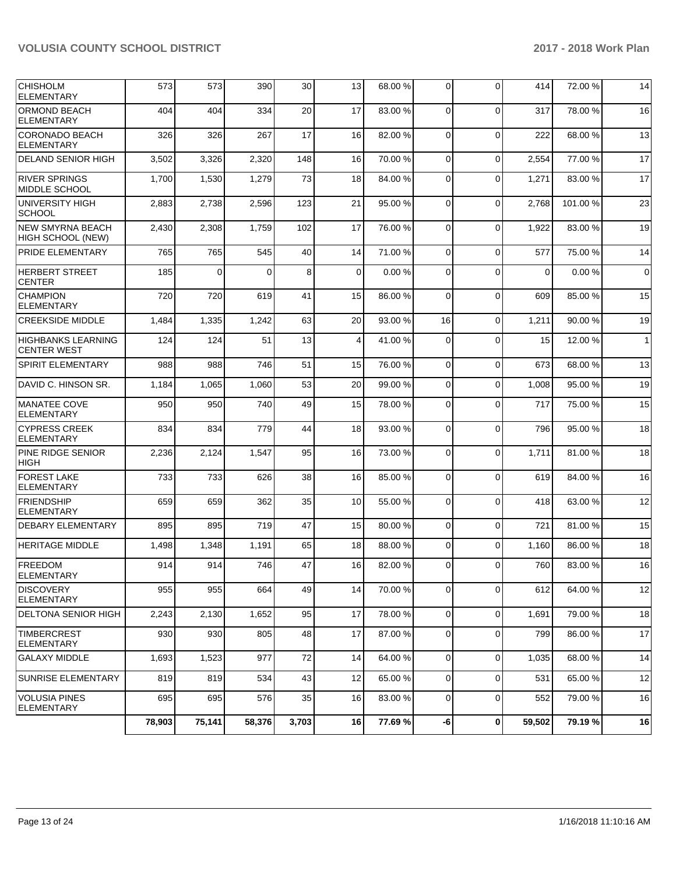| <b>CHISHOLM</b><br><b>ELEMENTARY</b>            | 573    | 573    | 390      | 30    | 13          | 68.00 % | $\overline{0}$ | $\Omega$    | 414      | 72.00 % | 14           |
|-------------------------------------------------|--------|--------|----------|-------|-------------|---------|----------------|-------------|----------|---------|--------------|
| ORMOND BEACH<br><b>ELEMENTARY</b>               | 404    | 404    | 334      | 20    | 17          | 83.00 % | $\mathbf 0$    | $\Omega$    | 317      | 78.00 % | 16           |
| <b>CORONADO BEACH</b><br><b>ELEMENTARY</b>      | 326    | 326    | 267      | 17    | 16          | 82.00 % | $\Omega$       | $\Omega$    | 222      | 68.00 % | 13           |
| <b>DELAND SENIOR HIGH</b>                       | 3,502  | 3,326  | 2,320    | 148   | 16          | 70.00%  | $\mathbf{0}$   | $\Omega$    | 2,554    | 77.00 % | 17           |
| <b>RIVER SPRINGS</b><br>MIDDLE SCHOOL           | 1,700  | 1,530  | 1,279    | 73    | 18          | 84.00 % | 0              | $\Omega$    | 1,271    | 83.00 % | 17           |
| UNIVERSITY HIGH<br><b>SCHOOL</b>                | 2,883  | 2,738  | 2,596    | 123   | 21          | 95.00 % | $\mathbf 0$    | $\Omega$    | 2,768    | 101.00% | 23           |
| <b>NEW SMYRNA BEACH</b><br>HIGH SCHOOL (NEW)    | 2,430  | 2,308  | 1,759    | 102   | 17          | 76.00 % | $\Omega$       | $\Omega$    | 1,922    | 83.00 % | 19           |
| PRIDE ELEMENTARY                                | 765    | 765    | 545      | 40    | 14          | 71.00 % | $\mathbf{0}$   | $\Omega$    | 577      | 75.00 % | 14           |
| <b>HERBERT STREET</b><br><b>CENTER</b>          | 185    | 0      | $\Omega$ | 8     | $\mathbf 0$ | 0.00%   | 0              | $\Omega$    | $\Omega$ | 0.00%   | $\mathbf 0$  |
| <b>CHAMPION</b><br><b>ELEMENTARY</b>            | 720    | 720    | 619      | 41    | 15          | 86.00 % | $\mathbf 0$    | $\Omega$    | 609      | 85.00 % | 15           |
| <b>CREEKSIDE MIDDLE</b>                         | 1,484  | 1,335  | 1,242    | 63    | 20          | 93.00 % | 16             | $\Omega$    | 1,211    | 90.00 % | 19           |
| <b>HIGHBANKS LEARNING</b><br><b>CENTER WEST</b> | 124    | 124    | 51       | 13    | 4           | 41.00%  | 0              | $\Omega$    | 15       | 12.00 % | $\mathbf{1}$ |
| <b>SPIRIT ELEMENTARY</b>                        | 988    | 988    | 746      | 51    | 15          | 76.00 % | $\mathbf{0}$   | $\Omega$    | 673      | 68.00 % | 13           |
| DAVID C. HINSON SR.                             | 1,184  | 1,065  | 1,060    | 53    | 20          | 99.00 % | $\mathbf{0}$   | $\Omega$    | 1,008    | 95.00 % | 19           |
| <b>MANATEE COVE</b><br>ELEMENTARY               | 950    | 950    | 740      | 49    | 15          | 78.00 % | 0              | $\Omega$    | 717      | 75.00 % | 15           |
| <b>CYPRESS CREEK</b><br><b>ELEMENTARY</b>       | 834    | 834    | 779      | 44    | 18          | 93.00 % | $\mathbf 0$    | $\Omega$    | 796      | 95.00 % | 18           |
| PINE RIDGE SENIOR<br><b>HIGH</b>                | 2,236  | 2,124  | 1,547    | 95    | 16          | 73.00 % | 0              | $\Omega$    | 1,711    | 81.00 % | 18           |
| <b>FOREST LAKE</b><br><b>ELEMENTARY</b>         | 733    | 733    | 626      | 38    | 16          | 85.00 % | 0              | $\Omega$    | 619      | 84.00%  | 16           |
| <b>FRIENDSHIP</b><br><b>ELEMENTARY</b>          | 659    | 659    | 362      | 35    | 10          | 55.00 % | $\mathbf 0$    | $\Omega$    | 418      | 63.00 % | 12           |
| DEBARY ELEMENTARY                               | 895    | 895    | 719      | 47    | 15          | 80.00 % | $\mathbf 0$    | $\Omega$    | 721      | 81.00 % | 15           |
| <b>HERITAGE MIDDLE</b>                          | 1,498  | 1,348  | 1,191    | 65    | 18          | 88.00 % | 0              | $\Omega$    | 1,160    | 86.00 % | 18           |
| <b>FREEDOM</b><br>ELEMENTARY                    | 914    | 914    | 746      | 47    | 16          | 82.00 % | 0              | $\Omega$    | 760      | 83.00 % | 16           |
| <b>DISCOVERY</b><br><b>ELEMENTARY</b>           | 955    | 955    | 664      | 49    | 14          | 70.00%  | 0              | $\mathbf 0$ | 612      | 64.00 % | 12           |
| <b>DELTONA SENIOR HIGH</b>                      | 2,243  | 2,130  | 1,652    | 95    | 17          | 78.00 % | $\overline{0}$ | $\mathbf 0$ | 1,691    | 79.00 % | 18           |
| <b>TIMBERCREST</b><br>ELEMENTARY                | 930    | 930    | 805      | 48    | 17          | 87.00 % | 0              | $\mathbf 0$ | 799      | 86.00 % | 17           |
| <b>GALAXY MIDDLE</b>                            | 1,693  | 1,523  | 977      | 72    | 14          | 64.00 % | $\mathbf 0$    | $\mathbf 0$ | 1,035    | 68.00 % | 14           |
| <b>SUNRISE ELEMENTARY</b>                       | 819    | 819    | 534      | 43    | 12          | 65.00 % | 0              | $\mathbf 0$ | 531      | 65.00 % | 12           |
| <b>VOLUSIA PINES</b><br><b>ELEMENTARY</b>       | 695    | 695    | 576      | 35    | 16          | 83.00 % | 0              | $\mathbf 0$ | 552      | 79.00 % | 16           |
|                                                 | 78,903 | 75,141 | 58,376   | 3,703 | 16          | 77.69 % | -6             | 0           | 59,502   | 79.19%  | 16           |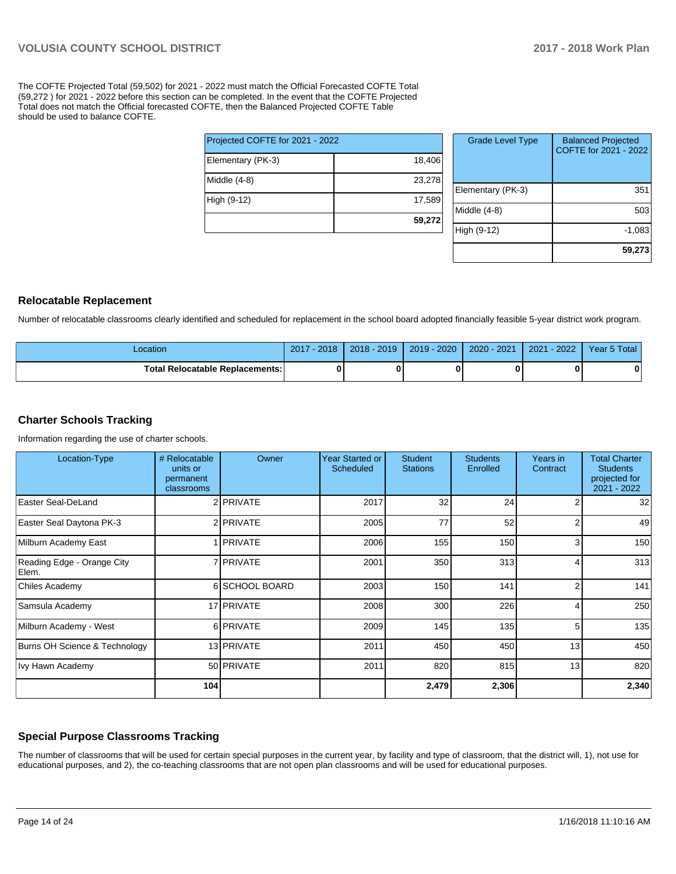The COFTE Projected Total (59,502) for 2021 - 2022 must match the Official Forecasted COFTE Total (59,272 ) for 2021 - 2022 before this section can be completed. In the event that the COFTE Projected Total does not match the Official forecasted COFTE, then the Balanced Projected COFTE Table should be used to balance COFTE.

|                                 | 59,272 |
|---------------------------------|--------|
| High (9-12)                     | 17,589 |
| Middle (4-8)                    | 23,278 |
| Elementary (PK-3)               | 18,406 |
| Projected COFTE for 2021 - 2022 |        |

| <b>Grade Level Type</b> | <b>Balanced Projected</b><br>COFTE for 2021 - 2022 |
|-------------------------|----------------------------------------------------|
| Elementary (PK-3)       | 351                                                |
| Middle $(4-8)$          | 503                                                |
| High (9-12)             | $-1,083$                                           |
|                         | 59,273                                             |

#### **Relocatable Replacement**

Number of relocatable classrooms clearly identified and scheduled for replacement in the school board adopted financially feasible 5-year district work program.

| Location                               | 2018<br>2017 | $2018 - 2019$ | $2019 - 2020$ | 2020 - 2021 | 2022<br>2021 | Year 5 Total |
|----------------------------------------|--------------|---------------|---------------|-------------|--------------|--------------|
| <b>Total Relocatable Replacements:</b> | 0            |               |               |             |              |              |

#### **Charter Schools Tracking**

Information regarding the use of charter schools.

| Location-Type                       | # Relocatable<br>units or<br>permanent<br>classrooms | Owner          | Year Started or<br>Scheduled | <b>Student</b><br><b>Stations</b> | <b>Students</b><br>Enrolled | Years in<br>Contract | <b>Total Charter</b><br><b>Students</b><br>projected for<br>2021 - 2022 |
|-------------------------------------|------------------------------------------------------|----------------|------------------------------|-----------------------------------|-----------------------------|----------------------|-------------------------------------------------------------------------|
| Easter Seal-DeLand                  |                                                      | 2 PRIVATE      | 2017                         | 32                                | 24                          |                      | 32 <sub>l</sub>                                                         |
| Easter Seal Daytona PK-3            |                                                      | 2 PRIVATE      | 2005                         | 77                                | 52                          |                      | 49                                                                      |
| Milburn Academy East                |                                                      | <b>PRIVATE</b> | 2006                         | 155                               | 150                         | 3                    | 150                                                                     |
| Reading Edge - Orange City<br>Elem. |                                                      | 7 PRIVATE      | 2001                         | 350                               | 313                         |                      | 313                                                                     |
| Chiles Academy                      |                                                      | 6 SCHOOL BOARD | 2003                         | 150                               | 141                         | 2                    | 141                                                                     |
| Samsula Academy                     |                                                      | 17 PRIVATE     | 2008                         | 300                               | 226                         |                      | 250                                                                     |
| Milburn Academy - West              |                                                      | 6 PRIVATE      | 2009                         | 145                               | 135                         | 5                    | 135                                                                     |
| Burns OH Science & Technology       |                                                      | 13 PRIVATE     | 2011                         | 450                               | 450                         | 13                   | 450                                                                     |
| Ivy Hawn Academy                    |                                                      | 50 PRIVATE     | 2011                         | 820                               | 815                         | 13                   | 820                                                                     |
|                                     | 104                                                  |                |                              | 2,479                             | 2,306                       |                      | 2,340                                                                   |

#### **Special Purpose Classrooms Tracking**

The number of classrooms that will be used for certain special purposes in the current year, by facility and type of classroom, that the district will, 1), not use for educational purposes, and 2), the co-teaching classrooms that are not open plan classrooms and will be used for educational purposes.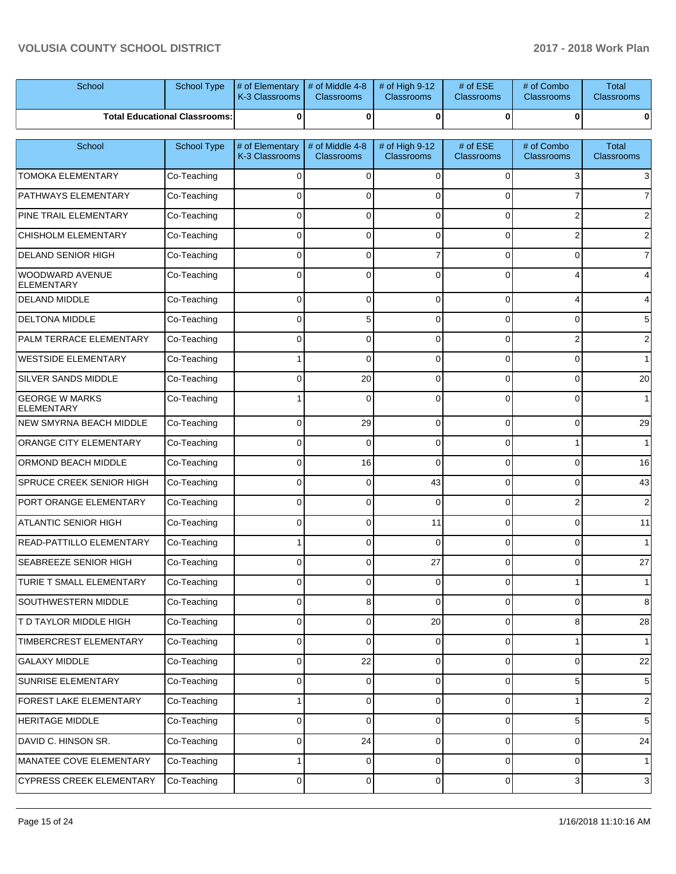| School                                     | <b>School Type</b>                   | # of Elementary<br>K-3 Classrooms | # of Middle 4-8<br><b>Classrooms</b> | # of High 9-12<br><b>Classrooms</b> | # of ESE<br><b>Classrooms</b> | # of Combo<br><b>Classrooms</b> | <b>Total</b><br><b>Classrooms</b> |
|--------------------------------------------|--------------------------------------|-----------------------------------|--------------------------------------|-------------------------------------|-------------------------------|---------------------------------|-----------------------------------|
|                                            | <b>Total Educational Classrooms:</b> | $\bf{0}$                          | 0                                    | $\bf{0}$                            | $\bf{0}$                      | 0                               | 0                                 |
| School                                     | School Type                          | # of Elementary<br>K-3 Classrooms | # of Middle 4-8<br><b>Classrooms</b> | # of High 9-12<br><b>Classrooms</b> | # of ESE<br><b>Classrooms</b> | # of Combo<br><b>Classrooms</b> | <b>Total</b><br><b>Classrooms</b> |
| <b>TOMOKA ELEMENTARY</b>                   | Co-Teaching                          | $\Omega$                          | 0                                    | 0                                   | $\Omega$                      | 3                               | 3                                 |
| <b>PATHWAYS ELEMENTARY</b>                 | Co-Teaching                          | $\Omega$                          | $\Omega$                             | $\Omega$                            | $\Omega$                      |                                 | 7                                 |
| <b>PINE TRAIL ELEMENTARY</b>               | Co-Teaching                          | $\Omega$                          | $\Omega$                             | $\Omega$                            | $\Omega$                      | 2                               | 2                                 |
| <b>CHISHOLM ELEMENTARY</b>                 | Co-Teaching                          | $\mathbf 0$                       | 0                                    | $\mathbf 0$                         | $\Omega$                      | 2                               | 2                                 |
| <b>DELAND SENIOR HIGH</b>                  | Co-Teaching                          | $\Omega$                          | $\Omega$                             | 7                                   | $\Omega$                      | $\Omega$                        | 7                                 |
| WOODWARD AVENUE<br>ELEMENTARY              | Co-Teaching                          | $\Omega$                          | $\Omega$                             | $\Omega$                            | $\Omega$                      |                                 | 4                                 |
| <b>DELAND MIDDLE</b>                       | Co-Teaching                          | $\mathbf 0$                       | $\Omega$                             | $\mathbf 0$                         | $\Omega$                      | 4                               | 4                                 |
| <b>DELTONA MIDDLE</b>                      | Co-Teaching                          | $\Omega$                          | 5                                    | $\Omega$                            | $\Omega$                      | $\Omega$                        | 5                                 |
| <b>PALM TERRACE ELEMENTARY</b>             | Co-Teaching                          | $\Omega$                          | $\Omega$                             | $\mathbf 0$                         | $\Omega$                      | $\overline{2}$                  | $\overline{2}$                    |
| WESTSIDE ELEMENTARY                        | Co-Teaching                          |                                   | $\Omega$                             | $\Omega$                            | $\Omega$                      | $\Omega$                        | 1                                 |
| <b>SILVER SANDS MIDDLE</b>                 | Co-Teaching                          | $\Omega$                          | 20                                   | $\mathbf 0$                         | $\Omega$                      | $\Omega$                        | 20                                |
| <b>GEORGE W MARKS</b><br><b>ELEMENTARY</b> | Co-Teaching                          |                                   | $\Omega$                             | $\Omega$                            | $\Omega$                      | $\Omega$                        | 1                                 |
| NEW SMYRNA BEACH MIDDLE                    | Co-Teaching                          | 0                                 | 29                                   | 0                                   | $\Omega$                      | 0                               | 29                                |
| <b>ORANGE CITY ELEMENTARY</b>              | Co-Teaching                          | 0                                 | $\Omega$                             | 0                                   | $\Omega$                      |                                 | 1                                 |
| <b>ORMOND BEACH MIDDLE</b>                 | Co-Teaching                          | 0                                 | 16                                   | 0                                   | $\Omega$                      | 0                               | 16                                |
| SPRUCE CREEK SENIOR HIGH                   | Co-Teaching                          | 0                                 | 0                                    | 43                                  | $\Omega$                      | 0                               | 43                                |
| PORT ORANGE ELEMENTARY                     | Co-Teaching                          | 0                                 | $\Omega$                             | $\mathbf 0$                         | $\Omega$                      | $\overline{2}$                  | $\overline{2}$                    |
| <b>ATLANTIC SENIOR HIGH</b>                | Co-Teaching                          | 0                                 | 0                                    | 11                                  | $\Omega$                      | $\Omega$                        | 11                                |
| READ-PATTILLO ELEMENTARY                   | Co-Teaching                          |                                   | 0                                    | $\mathbf 0$                         | $\Omega$                      | $\Omega$                        | 1                                 |
| SEABREEZE SENIOR HIGH                      | Co-Teaching                          | 0                                 | 0                                    | 27                                  | 0                             | 0                               | 27                                |
| TURIE T SMALL ELEMENTARY                   | Co-Teaching                          | 0                                 | 0                                    | 0                                   | 0                             | 1                               | 1                                 |
| SOUTHWESTERN MIDDLE                        | Co-Teaching                          | 0                                 | 8                                    | $\mathbf 0$                         | $\Omega$                      | 0                               | 8                                 |
| T D TAYLOR MIDDLE HIGH                     | Co-Teaching                          | 0                                 | 0                                    | 20                                  | $\Omega$                      | 8                               | 28                                |
| TIMBERCREST ELEMENTARY                     | Co-Teaching                          | $\mathbf 0$                       | 0                                    | 0                                   | $\Omega$                      | 1                               | 1 <sup>1</sup>                    |
| <b>GALAXY MIDDLE</b>                       | Co-Teaching                          | 0                                 | 22                                   | 0                                   | $\Omega$                      | 0                               | 22                                |
| SUNRISE ELEMENTARY                         | Co-Teaching                          | 0                                 | 0                                    | 0                                   | $\Omega$                      | 5                               | 5                                 |
| FOREST LAKE ELEMENTARY                     | Co-Teaching                          |                                   | 0                                    | 0                                   | $\Omega$                      | 1                               | 2                                 |
| HERITAGE MIDDLE                            | Co-Teaching                          | 0                                 | 0                                    | 0                                   | $\Omega$                      | 5                               | 5                                 |
| DAVID C. HINSON SR.                        | Co-Teaching                          | 0                                 | 24                                   | 0                                   | $\Omega$                      | 0                               | 24                                |
| MANATEE COVE ELEMENTARY                    | Co-Teaching                          |                                   | 0                                    | 0                                   | $\Omega$                      | 0                               | 1 <sup>1</sup>                    |
| <b>CYPRESS CREEK ELEMENTARY</b>            | Co-Teaching                          | $\mathbf 0$                       | 0                                    | 0                                   | 0                             | 3                               | 3                                 |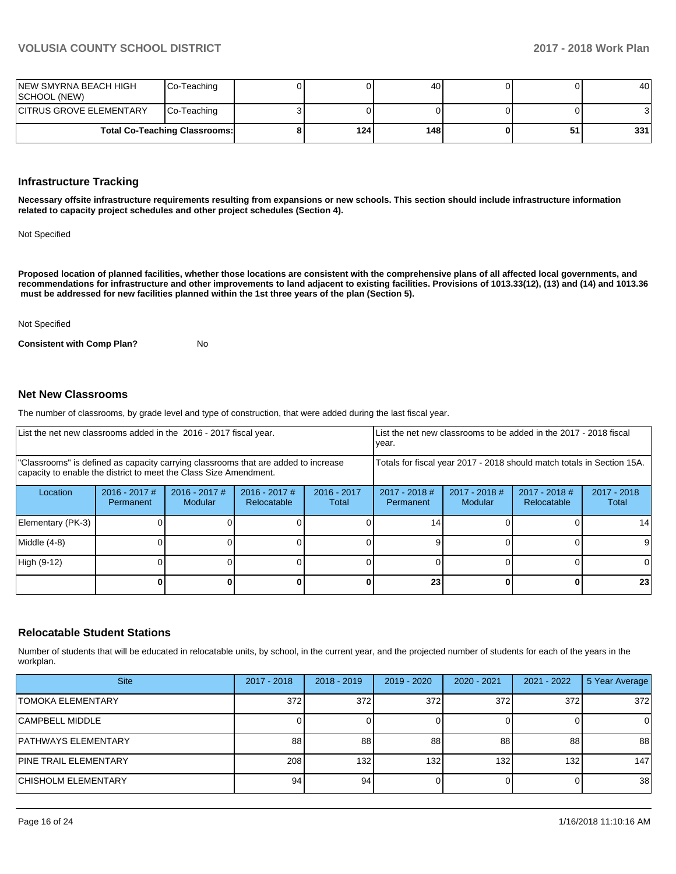| INEW SMYRNA BEACH HIGH<br>ISCHOOL (NEW) | Co-Teaching                          |     | 40  |    | 40  |
|-----------------------------------------|--------------------------------------|-----|-----|----|-----|
| <b>CITRUS GROVE ELEMENTARY</b>          | Co-Teaching                          |     |     |    |     |
|                                         | <b>Total Co-Teaching Classrooms:</b> | 124 | 148 | 51 | 331 |

### **Infrastructure Tracking**

**Necessary offsite infrastructure requirements resulting from expansions or new schools. This section should include infrastructure information related to capacity project schedules and other project schedules (Section 4).** 

Not Specified

**Proposed location of planned facilities, whether those locations are consistent with the comprehensive plans of all affected local governments, and recommendations for infrastructure and other improvements to land adjacent to existing facilities. Provisions of 1013.33(12), (13) and (14) and 1013.36 must be addressed for new facilities planned within the 1st three years of the plan (Section 5).** 

#### Not Specified

**Consistent with Comp Plan?** No

#### **Net New Classrooms**

The number of classrooms, by grade level and type of construction, that were added during the last fiscal year.

| List the net new classrooms added in the 2016 - 2017 fiscal year.                                                                                       |                              |                                   |                                                                        |                        | List the net new classrooms to be added in the 2017 - 2018 fiscal<br>year. |                            |                                |                        |
|---------------------------------------------------------------------------------------------------------------------------------------------------------|------------------------------|-----------------------------------|------------------------------------------------------------------------|------------------------|----------------------------------------------------------------------------|----------------------------|--------------------------------|------------------------|
| "Classrooms" is defined as capacity carrying classrooms that are added to increase<br>capacity to enable the district to meet the Class Size Amendment. |                              |                                   | Totals for fiscal year 2017 - 2018 should match totals in Section 15A. |                        |                                                                            |                            |                                |                        |
| Location                                                                                                                                                | $2016 - 2017$ #<br>Permanent | $2016 - 2017$ #<br><b>Modular</b> | $2016 - 2017$ #<br>Relocatable                                         | $2016 - 2017$<br>Total | $2017 - 2018$ #<br>Permanent                                               | $2017 - 2018$ #<br>Modular | $2017 - 2018$ #<br>Relocatable | $2017 - 2018$<br>Total |
| Elementary (PK-3)                                                                                                                                       |                              |                                   |                                                                        |                        | 14                                                                         |                            |                                | 14                     |
| Middle (4-8)                                                                                                                                            |                              |                                   |                                                                        |                        |                                                                            |                            |                                | 9                      |
| High (9-12)                                                                                                                                             |                              |                                   |                                                                        |                        |                                                                            |                            |                                | <sup>0</sup>           |
|                                                                                                                                                         |                              |                                   |                                                                        |                        | 23                                                                         |                            |                                | 23 <sub>l</sub>        |

#### **Relocatable Student Stations**

Number of students that will be educated in relocatable units, by school, in the current year, and the projected number of students for each of the years in the workplan.

| <b>Site</b>                  | 2017 - 2018 | $2018 - 2019$ | $2019 - 2020$ | 2020 - 2021 | 2021 - 2022      | 5 Year Average |
|------------------------------|-------------|---------------|---------------|-------------|------------------|----------------|
| <b>TOMOKA ELEMENTARY</b>     | 372         | 372           | 372           | 372         | 372              | 372            |
| <b>CAMPBELL MIDDLE</b>       |             |               |               |             |                  | 0              |
| <b>PATHWAYS ELEMENTARY</b>   | 88          | 88            | 88            | 88          | 88               | 88             |
| <b>PINE TRAIL ELEMENTARY</b> | 208         | 132           | 132           | 132         | 132 <sub>1</sub> | 147            |
| <b>CHISHOLM ELEMENTARY</b>   | 94          | 94            |               |             |                  | 38             |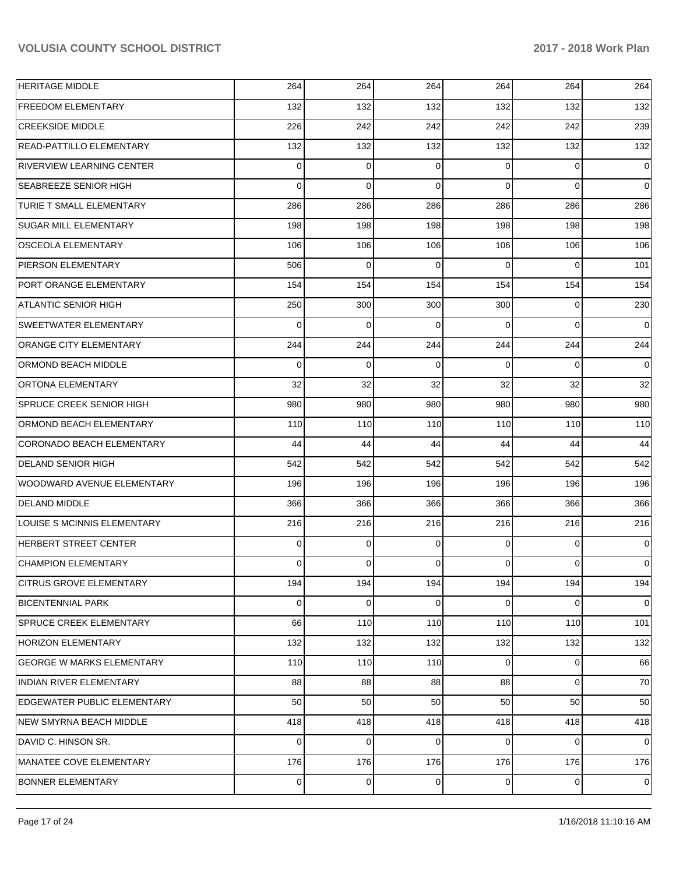| <b>HERITAGE MIDDLE</b>             | 264      | 264         | 264            | 264            | 264         | 264            |
|------------------------------------|----------|-------------|----------------|----------------|-------------|----------------|
| <b>FREEDOM ELEMENTARY</b>          | 132      | 132         | 132            | 132            | 132         | 132            |
| <b>CREEKSIDE MIDDLE</b>            | 226      | 242         | 242            | 242            | 242         | 239            |
| READ-PATTILLO ELEMENTARY           | 132      | 132         | 132            | 132            | 132         | 132            |
| RIVERVIEW LEARNING CENTER          | 0        | 0           | 0              | $\Omega$       | $\mathbf 0$ | 0              |
| SEABREEZE SENIOR HIGH              | $\Omega$ | $\mathbf 0$ | 0              | $\Omega$       | $\Omega$    | $\mathbf 0$    |
| TURIE T SMALL ELEMENTARY           | 286      | 286         | 286            | 286            | 286         | 286            |
| SUGAR MILL ELEMENTARY              | 198      | 198         | 198            | 198            | 198         | 198            |
| OSCEOLA ELEMENTARY                 | 106      | 106         | 106            | 106            | 106         | 106            |
| PIERSON ELEMENTARY                 | 506      | $\mathbf 0$ | 0              | $\Omega$       | $\Omega$    | 101            |
| PORT ORANGE ELEMENTARY             | 154      | 154         | 154            | 154            | 154         | 154            |
| ATLANTIC SENIOR HIGH               | 250      | 300         | 300            | 300            | 0           | 230            |
| SWEETWATER ELEMENTARY              | $\Omega$ | 0           | 0              | $\Omega$       | $\Omega$    | $\Omega$       |
| ORANGE CITY ELEMENTARY             | 244      | 244         | 244            | 244            | 244         | 244            |
| ORMOND BEACH MIDDLE                | $\Omega$ | 0           | 0              | $\Omega$       | $\Omega$    | $\Omega$       |
| ORTONA ELEMENTARY                  | 32       | 32          | 32             | 32             | 32          | 32             |
| SPRUCE CREEK SENIOR HIGH           | 980      | 980         | 980            | 980            | 980         | 980            |
| ORMOND BEACH ELEMENTARY            | 110      | 110         | 110            | 110            | 110         | 110            |
| CORONADO BEACH ELEMENTARY          | 44       | 44          | 44             | 44             | 44          | 44             |
| <b>DELAND SENIOR HIGH</b>          | 542      | 542         | 542            | 542            | 542         | 542            |
| WOODWARD AVENUE ELEMENTARY         | 196      | 196         | 196            | 196            | 196         | 196            |
| <b>DELAND MIDDLE</b>               | 366      | 366         | 366            | 366            | 366         | 366            |
| LOUISE S MCINNIS ELEMENTARY        | 216      | 216         | 216            | 216            | 216         | 216            |
| HERBERT STREET CENTER              | 0        | $\mathbf 0$ | 0              | $\Omega$       | 0           | $\mathbf 0$    |
| <b>CHAMPION ELEMENTARY</b>         | 0        | 0           | 0              | $\Omega$       | $\Omega$    | 0              |
| <b>CITRUS GROVE ELEMENTARY</b>     | 194      | 194         | 194            | 194            | 194         | 194            |
| <b>BICENTENNIAL PARK</b>           | 0        | 0           | 0              | $\Omega$       | 0           | 0              |
| SPRUCE CREEK ELEMENTARY            | 66       | 110         | 110            | 110            | 110         | 101            |
| <b>HORIZON ELEMENTARY</b>          | 132      | 132         | 132            | 132            | 132         | 132            |
| GEORGE W MARKS ELEMENTARY          | 110      | 110         | 110            | $\Omega$       | $\mathbf 0$ | 66             |
| INDIAN RIVER ELEMENTARY            | 88       | 88          | 88             | 88             | $\mathbf 0$ | 70             |
| <b>EDGEWATER PUBLIC ELEMENTARY</b> | 50       | 50          | 50             | 50             | 50          | 50             |
| NEW SMYRNA BEACH MIDDLE            | 418      | 418         | 418            | 418            | 418         | 418            |
| DAVID C. HINSON SR.                | 0        | 0           | 0              | $\Omega$       | $\mathbf 0$ | $\overline{0}$ |
| MANATEE COVE ELEMENTARY            | 176      | 176         | 176            | 176            | 176         | 176            |
| <b>BONNER ELEMENTARY</b>           | 0        | $\mathbf 0$ | $\overline{0}$ | $\overline{0}$ | 0           | 0              |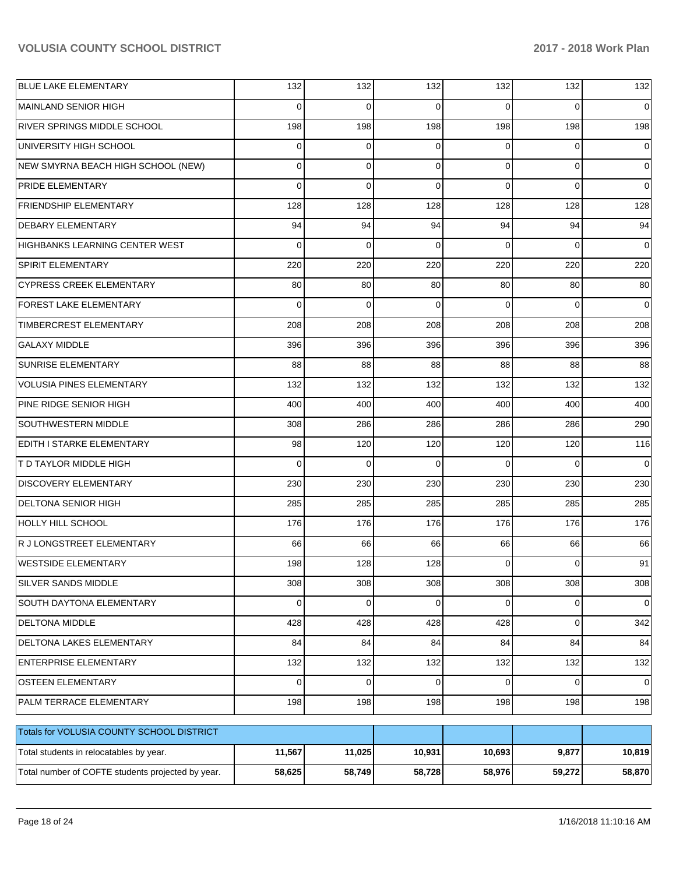| <b>BLUE LAKE ELEMENTARY</b>                       | 132      | 132         | 132         | 132      | 132         | 132         |
|---------------------------------------------------|----------|-------------|-------------|----------|-------------|-------------|
| <b>MAINLAND SENIOR HIGH</b>                       | 0        | $\Omega$    | $\Omega$    | $\Omega$ | $\Omega$    | 0           |
| RIVER SPRINGS MIDDLE SCHOOL                       | 198      | 198         | 198         | 198      | 198         | 198         |
| UNIVERSITY HIGH SCHOOL                            | 0        | 0           | $\Omega$    | $\Omega$ | $\Omega$    | 0           |
| NEW SMYRNA BEACH HIGH SCHOOL (NEW)                | 0        | 0           | $\Omega$    | $\Omega$ | $\Omega$    | $\Omega$    |
| PRIDE ELEMENTARY                                  | $\Omega$ | $\Omega$    | $\Omega$    | $\Omega$ | $\Omega$    | 0           |
| <b>FRIENDSHIP ELEMENTARY</b>                      | 128      | 128         | 128         | 128      | 128         | 128         |
| <b>DEBARY ELEMENTARY</b>                          | 94       | 94          | 94          | 94       | 94          | 94          |
| HIGHBANKS LEARNING CENTER WEST                    | $\Omega$ | $\Omega$    | $\Omega$    | $\Omega$ | $\Omega$    | $\Omega$    |
| SPIRIT ELEMENTARY                                 | 220      | 220         | 220         | 220      | 220         | 220         |
| <b>CYPRESS CREEK ELEMENTARY</b>                   | 80       | 80          | 80          | 80       | 80          | 80          |
| FOREST LAKE ELEMENTARY                            | $\Omega$ | $\Omega$    | $\Omega$    | $\Omega$ | $\Omega$    | 0           |
| TIMBERCREST ELEMENTARY                            | 208      | 208         | 208         | 208      | 208         | 208         |
| <b>GALAXY MIDDLE</b>                              | 396      | 396         | 396         | 396      | 396         | 396         |
| SUNRISE ELEMENTARY                                | 88       | 88          | 88          | 88       | 88          | 88          |
| <b>VOLUSIA PINES ELEMENTARY</b>                   | 132      | 132         | 132         | 132      | 132         | 132         |
| PINE RIDGE SENIOR HIGH                            | 400      | 400         | 400         | 400      | 400         | 400         |
| SOUTHWESTERN MIDDLE                               | 308      | 286         | 286         | 286      | 286         | 290         |
| EDITH I STARKE ELEMENTARY                         | 98       | 120         | 120         | 120      | 120         | 116         |
| <b>T D TAYLOR MIDDLE HIGH</b>                     | $\Omega$ | $\Omega$    | $\Omega$    | $\Omega$ | $\Omega$    | 0           |
| <b>DISCOVERY ELEMENTARY</b>                       | 230      | 230         | 230         | 230      | 230         | 230         |
| <b>DELTONA SENIOR HIGH</b>                        | 285      | 285         | 285         | 285      | 285         | 285         |
| <b>HOLLY HILL SCHOOL</b>                          | 176      | 176         | 176         | 176      | 176         | 176         |
| R J LONGSTREET ELEMENTARY                         | 66       | 66          | 66          | 66       | 66          | 66          |
| <b>WESTSIDE ELEMENTARY</b>                        | 198      | 128         | 128         | $\Omega$ | $\Omega$    | 91          |
| SILVER SANDS MIDDLE                               | 308      | 308         | 308         | 308      | 308         | 308         |
| SOUTH DAYTONA ELEMENTARY                          | 0        | 0           | 0           | $\Omega$ | 0           | 0           |
| DELTONA MIDDLE                                    | 428      | 428         | 428         | 428      | $\mathbf 0$ | 342         |
| DELTONA LAKES ELEMENTARY                          | 84       | 84          | 84          | 84       | 84          | 84          |
| <b>ENTERPRISE ELEMENTARY</b>                      | 132      | 132         | 132         | 132      | 132         | 132         |
| <b>OSTEEN ELEMENTARY</b>                          | $\Omega$ | $\mathbf 0$ | $\mathbf 0$ | $\Omega$ | $\Omega$    | $\mathbf 0$ |
| PALM TERRACE ELEMENTARY                           | 198      | 198         | 198         | 198      | 198         | 198         |
| Totals for VOLUSIA COUNTY SCHOOL DISTRICT         |          |             |             |          |             |             |
| Total students in relocatables by year.           | 11,567   | 11,025      | 10,931      | 10,693   | 9,877       | 10,819      |
| Total number of COFTE students projected by year. | 58,625   | 58,749      | 58,728      | 58,976   | 59,272      | 58,870      |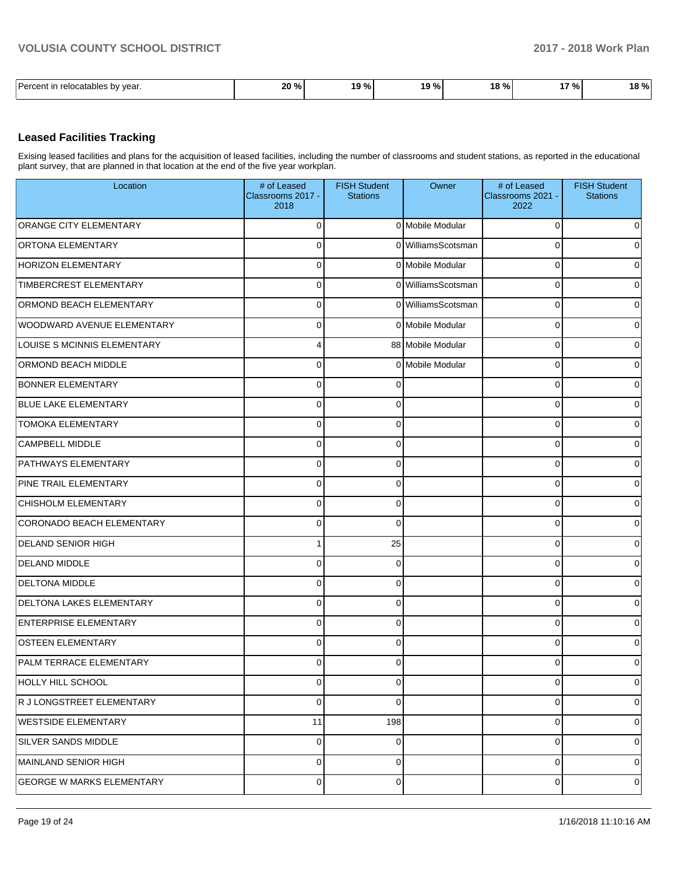| Darcont<br>vear.<br>relocatables by | 20 %<br>70. | $\sim$ $\sim$<br>0 و،<br>70 | 10 %<br>. .<br>- 70 | 100<br>10.<br>70 I | 170/<br>7٥ | $\sim$<br>۰.<br>Yo I<br>ıο |
|-------------------------------------|-------------|-----------------------------|---------------------|--------------------|------------|----------------------------|

### **Leased Facilities Tracking**

Exising leased facilities and plans for the acquisition of leased facilities, including the number of classrooms and student stations, as reported in the educational plant survey, that are planned in that location at the end of the five year workplan.

| Location                         | # of Leased<br>Classrooms 2017 -<br>2018 | <b>FISH Student</b><br><b>Stations</b> | Owner              | # of Leased<br>Classrooms 2021 -<br>2022 | <b>FISH Student</b><br><b>Stations</b> |
|----------------------------------|------------------------------------------|----------------------------------------|--------------------|------------------------------------------|----------------------------------------|
| ORANGE CITY ELEMENTARY           | $\overline{0}$                           |                                        | 0 Mobile Modular   | $\Omega$                                 | $\mathbf 0$                            |
| <b>ORTONA ELEMENTARY</b>         | $\Omega$                                 |                                        | 0 WilliamsScotsman | $\Omega$                                 | $\mathbf 0$                            |
| <b>HORIZON ELEMENTARY</b>        | $\overline{0}$                           |                                        | 0 Mobile Modular   | 0                                        | 0                                      |
| TIMBERCREST ELEMENTARY           | $\overline{0}$                           |                                        | 0 WilliamsScotsman | 0                                        | $\overline{0}$                         |
| ORMOND BEACH ELEMENTARY          | $\overline{0}$                           |                                        | 0 WilliamsScotsman | $\mathbf 0$                              | 0                                      |
| WOODWARD AVENUE ELEMENTARY       | $\overline{0}$                           |                                        | 0 Mobile Modular   | $\Omega$                                 | $\overline{0}$                         |
| LOUISE S MCINNIS ELEMENTARY      | $\overline{4}$                           |                                        | 88 Mobile Modular  | $\mathbf 0$                              | 0                                      |
| ORMOND BEACH MIDDLE              | $\overline{0}$                           |                                        | 0 Mobile Modular   | $\Omega$                                 | $\overline{0}$                         |
| <b>BONNER ELEMENTARY</b>         | $\overline{0}$                           | $\Omega$                               |                    | 0                                        | $\overline{0}$                         |
| <b>BLUE LAKE ELEMENTARY</b>      | $\overline{0}$                           | $\Omega$                               |                    | $\Omega$                                 | $\overline{0}$                         |
| <b>TOMOKA ELEMENTARY</b>         | $\overline{0}$                           | $\mathbf 0$                            |                    | 0                                        | $\overline{0}$                         |
| <b>CAMPBELL MIDDLE</b>           | $\Omega$                                 | $\Omega$                               |                    | $\Omega$                                 | $\overline{0}$                         |
| <b>PATHWAYS ELEMENTARY</b>       | $\overline{0}$                           | $\mathbf 0$                            |                    | $\mathbf 0$                              | $\overline{0}$                         |
| <b>PINE TRAIL ELEMENTARY</b>     | $\overline{0}$                           | $\Omega$                               |                    | $\Omega$                                 | $\overline{0}$                         |
| <b>CHISHOLM ELEMENTARY</b>       | $\overline{0}$                           | $\mathbf 0$                            |                    | 0                                        | $\overline{0}$                         |
| CORONADO BEACH ELEMENTARY        | $\overline{0}$                           | $\Omega$                               |                    | $\Omega$                                 | $\overline{0}$                         |
| <b>DELAND SENIOR HIGH</b>        | $\mathbf{1}$                             | 25                                     |                    | 0                                        | $\overline{0}$                         |
| <b>DELAND MIDDLE</b>             | $\Omega$                                 | $\Omega$                               |                    | $\Omega$                                 | $\overline{0}$                         |
| <b>DELTONA MIDDLE</b>            | $\overline{0}$                           | $\mathbf 0$                            |                    | $\mathbf 0$                              | $\overline{0}$                         |
| <b>DELTONA LAKES ELEMENTARY</b>  | $\overline{0}$                           | $\Omega$                               |                    | $\Omega$                                 | $\overline{0}$                         |
| <b>ENTERPRISE ELEMENTARY</b>     | $\overline{0}$                           | $\mathbf 0$                            |                    | 0                                        | 0                                      |
| OSTEEN ELEMENTARY                | $\overline{0}$                           | $\Omega$                               |                    | $\Omega$                                 | $\mathbf 0$                            |
| <b>PALM TERRACE ELEMENTARY</b>   | $\overline{0}$                           | $\mathbf 0$                            |                    | 0                                        | 0                                      |
| <b>HOLLY HILL SCHOOL</b>         | $\overline{0}$                           | $\mathbf 0$                            |                    | 0                                        | $\overline{0}$                         |
| R J LONGSTREET ELEMENTARY        | $\overline{0}$                           | $\mathbf 0$                            |                    | 0                                        | $\overline{0}$                         |
| WESTSIDE ELEMENTARY              | 11                                       | 198                                    |                    | 0                                        | $\overline{0}$                         |
| SILVER SANDS MIDDLE              | $\overline{0}$                           | $\mathbf 0$                            |                    | 0                                        | $\overline{0}$                         |
| MAINLAND SENIOR HIGH             | $\overline{0}$                           | $\mathbf 0$                            |                    | 0                                        | $\overline{0}$                         |
| <b>GEORGE W MARKS ELEMENTARY</b> | $\overline{0}$                           | 0                                      |                    | 0                                        | 0                                      |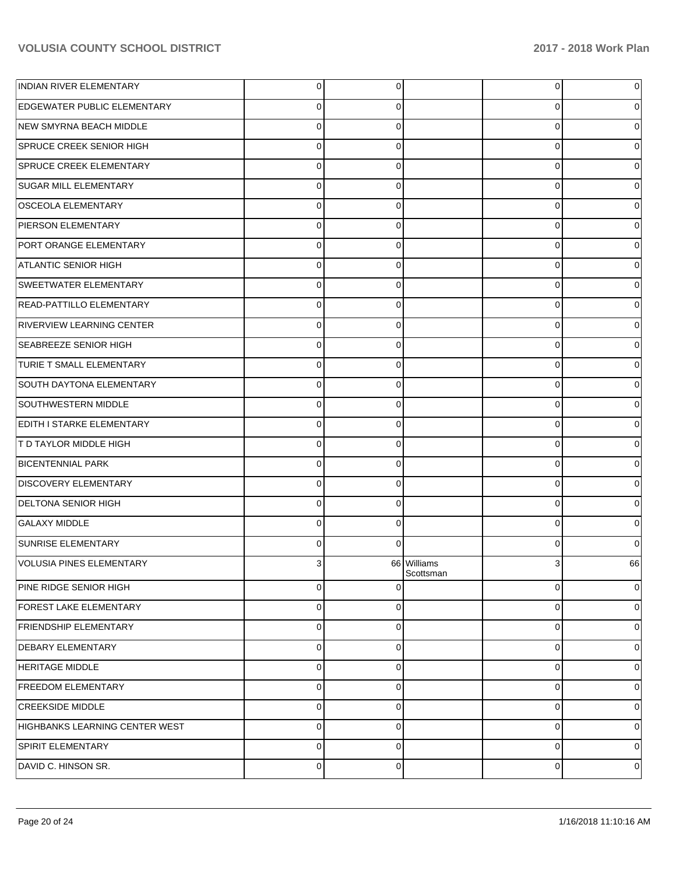| <b>INDIAN RIVER ELEMENTARY</b>     | 0           | 0        |                          | $\overline{0}$ | 0        |
|------------------------------------|-------------|----------|--------------------------|----------------|----------|
| <b>EDGEWATER PUBLIC ELEMENTARY</b> | 0           | 0        |                          | 0              | 0        |
| NEW SMYRNA BEACH MIDDLE            | $\mathbf 0$ | $\Omega$ |                          | $\mathbf 0$    | $\Omega$ |
| SPRUCE CREEK SENIOR HIGH           | 0           | $\Omega$ |                          | $\mathbf 0$    | 0        |
| SPRUCE CREEK ELEMENTARY            | $\mathbf 0$ | $\Omega$ |                          | $\mathbf 0$    | $\Omega$ |
| <b>SUGAR MILL ELEMENTARY</b>       | 0           | $\Omega$ |                          | $\mathbf 0$    | 0        |
| OSCEOLA ELEMENTARY                 | $\mathbf 0$ | 0        |                          | $\mathbf 0$    | $\Omega$ |
| PIERSON ELEMENTARY                 | 0           | 0        |                          | $\mathbf 0$    | 0        |
| PORT ORANGE ELEMENTARY             | $\mathbf 0$ | 0        |                          | $\mathbf 0$    | 0        |
| <b>ATLANTIC SENIOR HIGH</b>        | 0           | $\Omega$ |                          | $\mathbf 0$    | 0        |
| SWEETWATER ELEMENTARY              | $\mathbf 0$ | 0        |                          | $\mathbf 0$    | 0        |
| READ-PATTILLO ELEMENTARY           | 0           | 0        |                          | $\mathbf 0$    | 0        |
| RIVERVIEW LEARNING CENTER          | $\mathbf 0$ | 0        |                          | $\mathbf 0$    | $\Omega$ |
| <b>SEABREEZE SENIOR HIGH</b>       | $\mathbf 0$ | 0        |                          | $\mathbf 0$    | 0        |
| <b>TURIE T SMALL ELEMENTARY</b>    | $\mathbf 0$ | 0        |                          | $\mathbf 0$    | 0        |
| SOUTH DAYTONA ELEMENTARY           | 0           | 0        |                          | $\mathbf 0$    | 0        |
| SOUTHWESTERN MIDDLE                | $\mathbf 0$ | 0        |                          | $\mathbf 0$    | 0        |
| <b>EDITH I STARKE ELEMENTARY</b>   | $\mathbf 0$ | $\Omega$ |                          | $\mathbf 0$    | 0        |
| <b>T D TAYLOR MIDDLE HIGH</b>      | $\mathbf 0$ | 0        |                          | 0              | $\Omega$ |
| <b>BICENTENNIAL PARK</b>           | $\mathbf 0$ | 0        |                          | $\mathbf 0$    | 0        |
| <b>DISCOVERY ELEMENTARY</b>        | $\mathbf 0$ | 0        |                          | $\mathbf 0$    | $\Omega$ |
| <b>DELTONA SENIOR HIGH</b>         | $\mathbf 0$ | $\Omega$ |                          | $\mathbf 0$    | 0        |
| <b>GALAXY MIDDLE</b>               | $\Omega$    | 0        |                          | $\mathbf 0$    | 0        |
| <b>SUNRISE ELEMENTARY</b>          | 0           | $\Omega$ |                          | $\mathbf 0$    | $\Omega$ |
| VOLUSIA PINES ELEMENTARY           | 3           |          | 66 Williams<br>Scottsman | 3              | 66       |
| PINE RIDGE SENIOR HIGH             | $\mathbf 0$ | $\Omega$ |                          | $\overline{0}$ | $\Omega$ |
| <b>FOREST LAKE ELEMENTARY</b>      | $\mathbf 0$ | $\Omega$ |                          | $\overline{0}$ | 0        |
| <b>FRIENDSHIP ELEMENTARY</b>       | 0           | $\Omega$ |                          | 0              | 0        |
| <b>DEBARY ELEMENTARY</b>           | $\mathbf 0$ | $\Omega$ |                          | $\mathbf{0}$   | 0        |
| <b>HERITAGE MIDDLE</b>             | 0           | $\Omega$ |                          | $\mathbf 0$    | 0        |
| <b>FREEDOM ELEMENTARY</b>          | $\mathbf 0$ | $\Omega$ |                          | $\mathbf 0$    | 0        |
| <b>CREEKSIDE MIDDLE</b>            | 0           | $\Omega$ |                          | $\mathbf 0$    | $\Omega$ |
| HIGHBANKS LEARNING CENTER WEST     | 0           | $\Omega$ |                          | $\mathbf{0}$   | 0        |
| <b>SPIRIT ELEMENTARY</b>           | 0           | $\Omega$ |                          | $\mathbf 0$    | $\Omega$ |
| DAVID C. HINSON SR.                | $\mathbf 0$ | 0        |                          | $\overline{0}$ | 0        |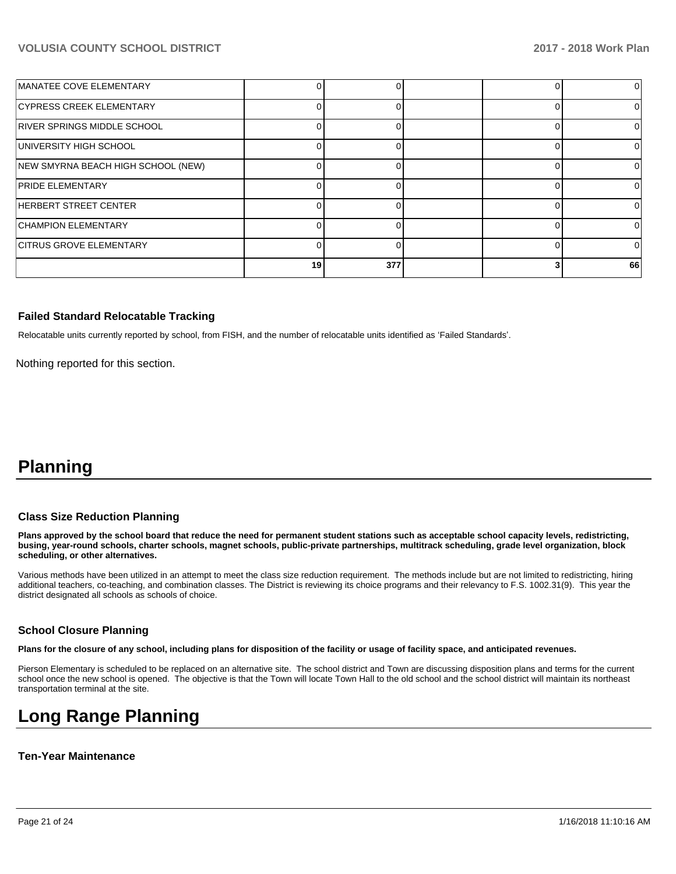| MANATEE COVE ELEMENTARY            |    |     |  |    |
|------------------------------------|----|-----|--|----|
| CYPRESS CREEK ELEMENTARY           |    |     |  |    |
| RIVER SPRINGS MIDDLE SCHOOL        |    |     |  |    |
| UNIVERSITY HIGH SCHOOL             |    |     |  |    |
| NEW SMYRNA BEACH HIGH SCHOOL (NEW) |    |     |  |    |
| <b>PRIDE ELEMENTARY</b>            |    |     |  |    |
| HERBERT STREET CENTER              |    |     |  |    |
| <b>CHAMPION ELEMENTARY</b>         |    |     |  |    |
| <b>CITRUS GROVE ELEMENTARY</b>     |    |     |  |    |
|                                    | 19 | 377 |  | 66 |

#### **Failed Standard Relocatable Tracking**

Relocatable units currently reported by school, from FISH, and the number of relocatable units identified as 'Failed Standards'.

Nothing reported for this section.

# **Planning**

#### **Class Size Reduction Planning**

**Plans approved by the school board that reduce the need for permanent student stations such as acceptable school capacity levels, redistricting, busing, year-round schools, charter schools, magnet schools, public-private partnerships, multitrack scheduling, grade level organization, block scheduling, or other alternatives.**

Various methods have been utilized in an attempt to meet the class size reduction requirement. The methods include but are not limited to redistricting, hiring additional teachers, co-teaching, and combination classes. The District is reviewing its choice programs and their relevancy to F.S. 1002.31(9). This year the district designated all schools as schools of choice.

#### **School Closure Planning**

**Plans for the closure of any school, including plans for disposition of the facility or usage of facility space, and anticipated revenues.** 

Pierson Elementary is scheduled to be replaced on an alternative site. The school district and Town are discussing disposition plans and terms for the current school once the new school is opened. The objective is that the Town will locate Town Hall to the old school and the school district will maintain its northeast transportation terminal at the site.

# **Long Range Planning**

#### **Ten-Year Maintenance**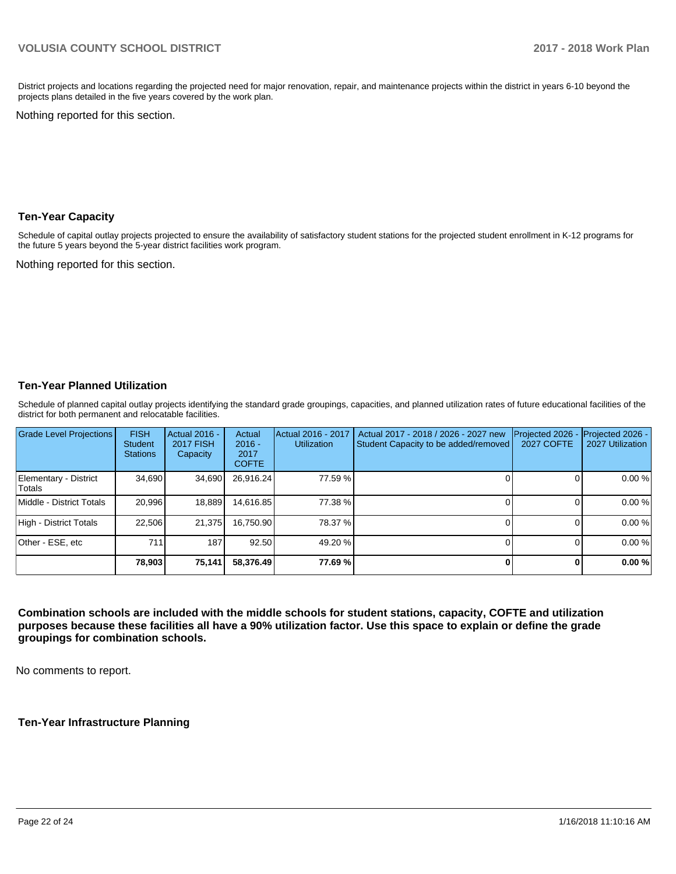District projects and locations regarding the projected need for major renovation, repair, and maintenance projects within the district in years 6-10 beyond the projects plans detailed in the five years covered by the work plan.

Nothing reported for this section.

#### **Ten-Year Capacity**

Schedule of capital outlay projects projected to ensure the availability of satisfactory student stations for the projected student enrollment in K-12 programs for the future 5 years beyond the 5-year district facilities work program.

Nothing reported for this section.

#### **Ten-Year Planned Utilization**

Schedule of planned capital outlay projects identifying the standard grade groupings, capacities, and planned utilization rates of future educational facilities of the district for both permanent and relocatable facilities.

| <b>Grade Level Projections</b>   | <b>FISH</b><br><b>Student</b><br><b>Stations</b> | Actual 2016 -<br><b>2017 FISH</b><br>Capacity | Actual<br>$2016 -$<br>2017<br><b>COFTE</b> | Actual 2016 - 2017<br><b>Utilization</b> | Actual 2017 - 2018 / 2026 - 2027 new<br>Student Capacity to be added/removed | Projected 2026<br><b>2027 COFTE</b> | Projected 2026 -<br>2027 Utilization |
|----------------------------------|--------------------------------------------------|-----------------------------------------------|--------------------------------------------|------------------------------------------|------------------------------------------------------------------------------|-------------------------------------|--------------------------------------|
| Elementary - District<br> Totals | 34.690                                           | 34,690                                        | 26,916.24                                  | 77.59 %                                  |                                                                              |                                     | 0.00%                                |
| Middle - District Totals         | 20.996                                           | 18,889                                        | 14.616.85                                  | 77.38 %                                  |                                                                              |                                     | 0.00%                                |
| High - District Totals           | 22.506                                           | 21.375                                        | 16.750.90                                  | 78.37 %                                  |                                                                              |                                     | 0.00%                                |
| Other - ESE, etc                 | 711                                              | 187                                           | 92.50                                      | 49.20 %                                  |                                                                              |                                     | 0.00%                                |
|                                  | 78,903                                           | 75,141                                        | 58,376.49                                  | 77.69 %                                  |                                                                              |                                     | 0.00%                                |

**Combination schools are included with the middle schools for student stations, capacity, COFTE and utilization purposes because these facilities all have a 90% utilization factor. Use this space to explain or define the grade groupings for combination schools.** 

No comments to report.

**Ten-Year Infrastructure Planning**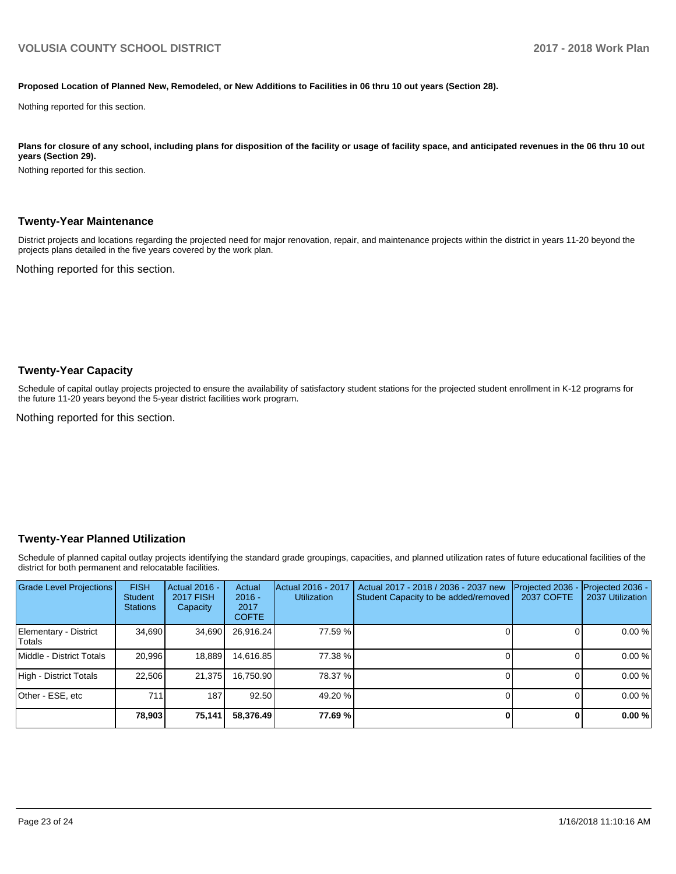#### **Proposed Location of Planned New, Remodeled, or New Additions to Facilities in 06 thru 10 out years (Section 28).**

Nothing reported for this section.

Plans for closure of any school, including plans for disposition of the facility or usage of facility space, and anticipated revenues in the 06 thru 10 out **years (Section 29).**

Nothing reported for this section.

#### **Twenty-Year Maintenance**

District projects and locations regarding the projected need for major renovation, repair, and maintenance projects within the district in years 11-20 beyond the projects plans detailed in the five years covered by the work plan.

Nothing reported for this section.

#### **Twenty-Year Capacity**

Schedule of capital outlay projects projected to ensure the availability of satisfactory student stations for the projected student enrollment in K-12 programs for the future 11-20 years beyond the 5-year district facilities work program.

Nothing reported for this section.

#### **Twenty-Year Planned Utilization**

Schedule of planned capital outlay projects identifying the standard grade groupings, capacities, and planned utilization rates of future educational facilities of the district for both permanent and relocatable facilities.

| <b>Grade Level Projections</b>   | <b>FISH</b><br><b>Student</b><br><b>Stations</b> | <b>Actual 2016 -</b><br><b>2017 FISH</b><br>Capacity | Actual<br>$2016 -$<br>2017<br><b>COFTE</b> | Actual 2016 - 2017<br><b>Utilization</b> | Actual 2017 - 2018 / 2036 - 2037 new<br>Student Capacity to be added/removed | Projected 2036<br><b>2037 COFTE</b> | <b>Projected 2036 -</b><br>2037 Utilization |
|----------------------------------|--------------------------------------------------|------------------------------------------------------|--------------------------------------------|------------------------------------------|------------------------------------------------------------------------------|-------------------------------------|---------------------------------------------|
| Elementary - District<br> Totals | 34,690                                           | 34,690                                               | 26,916.24                                  | 77.59 %                                  |                                                                              |                                     | 0.00%                                       |
| Middle - District Totals         | 20.996                                           | 18,889                                               | 14.616.85                                  | 77.38 %                                  |                                                                              |                                     | 0.00%                                       |
| High - District Totals           | 22.506                                           | 21.375                                               | 16.750.90                                  | 78.37 %                                  |                                                                              |                                     | 0.00%                                       |
| Other - ESE, etc                 | 711                                              | 187                                                  | 92.50                                      | 49.20 %                                  |                                                                              |                                     | 0.00%                                       |
|                                  | 78,903                                           | 75,141                                               | 58,376.49                                  | 77.69 %                                  |                                                                              |                                     | 0.00%                                       |